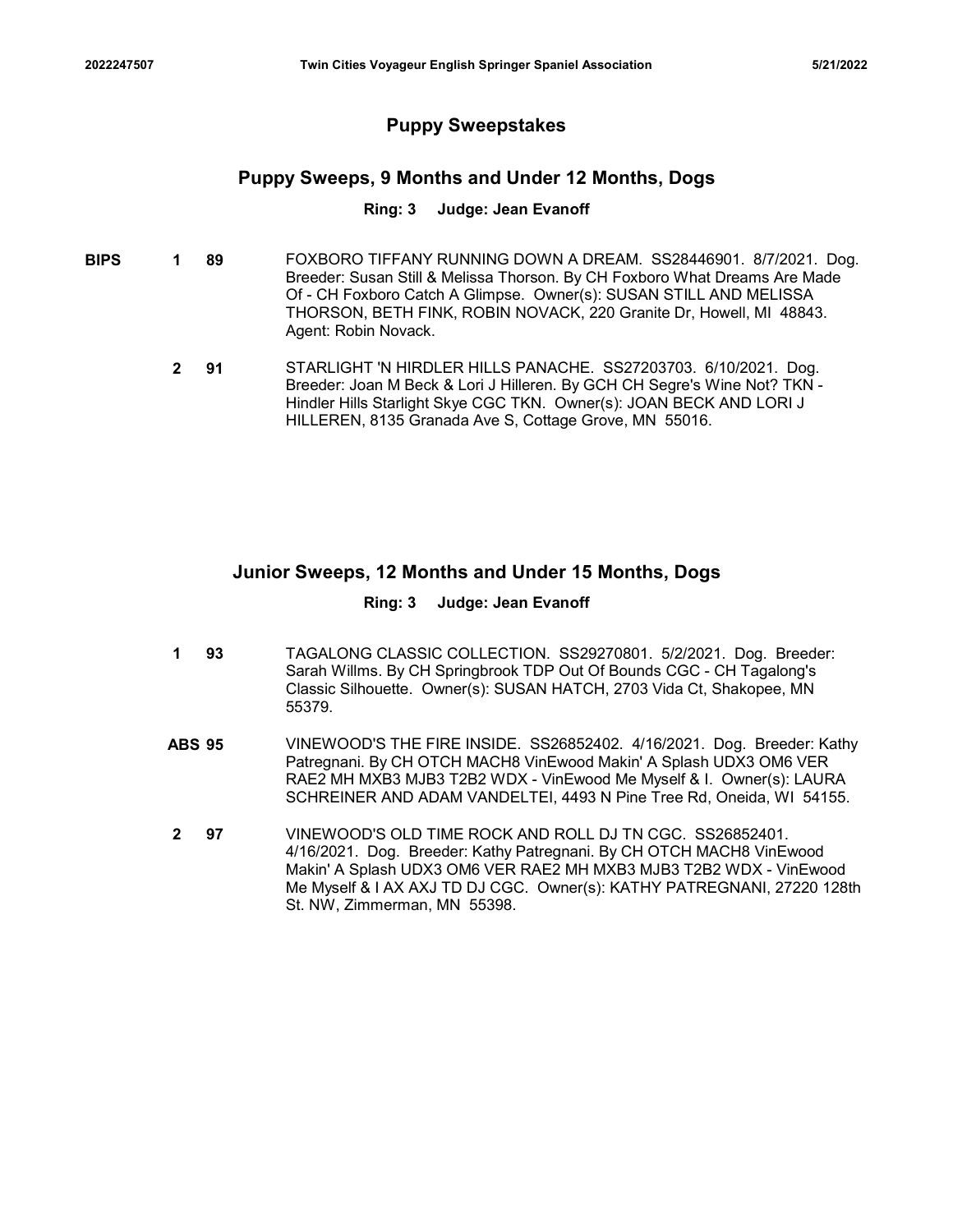# Puppy Sweepstakes

# Puppy Sweeps, 9 Months and Under 12 Months, Dogs

### Ring: 3 Judge: Jean Evanoff

- **BIPS 1 89** FOXBORO TIFFANY RUNNING DOWN A DREAM. SS28446901. 8/7/2021. Dog. Breeder: Susan Still & Melissa Thorson. By CH Foxboro What Dreams Are Made Of - CH Foxboro Catch A Glimpse. Owner(s): SUSAN STILL AND MELISSA THORSON, BETH FINK, ROBIN NOVACK, 220 Granite Dr, Howell, MI 48843. Agent: Robin Novack.
	- **2 91** STARLIGHT 'N HIRDLER HILLS PANACHE. SS27203703. 6/10/2021. Dog. Breeder: Joan M Beck & Lori J Hilleren. By GCH CH Segre's Wine Not? TKN - Hindler Hills Starlight Skye CGC TKN. Owner(s): JOAN BECK AND LORI J HILLEREN, 8135 Granada Ave S, Cottage Grove, MN 55016.

# Junior Sweeps, 12 Months and Under 15 Months, Dogs

### Ring: 3 Judge: Jean Evanoff

- **1 93** TAGALONG CLASSIC COLLECTION. SS29270801. 5/2/2021. Dog. Breeder: Sarah Willms. By CH Springbrook TDP Out Of Bounds CGC - CH Tagalong's Classic Silhouette. Owner(s): SUSAN HATCH, 2703 Vida Ct, Shakopee, MN 55379.
- 91 STARLIGHT IN HIRDLER HILLS PANACHE. SS27203703. 6/10/2021. Dog.<br>
Breeder: Joan M Beck & Lori J Hilleren. By GCH CH Segre's Wine Not? TKN<br>
Hindler Hills Starlight Skye CGC TKN. Owner(s): JOAN BECK AND LORI J<br>
HILLEREN, 8 Patregnani. By CH OTCH MACH8 VinEwood Makin' A Splash UDX3 OM6 VER RAE2 MH MXB3 MJB3 T2B2 WDX - VinEwood Me Myself & I. Owner(s): LAURA SCHREINER AND ADAM VANDELTEI, 4493 N Pine Tree Rd, Oneida, WI 54155.
- 97 VINEWOOD'S OLD TIME ROCK AND ROLL DJ TN CGC. SS26852401. 4/16/2021. Dog. Breeder: Kathy Patregnani. By CH OTCH MACH8 VinEwood Makin' A Splash UDX3 OM6 VER RAE2 MH MXB3 MJB3 T2B2 WDX - VinEwood Me Myself & I AX AXJ TD DJ CGC. Owner(s): KATHY PATREGNANI, 27220 128th St. NW, Zimmerman, MN 55398. 2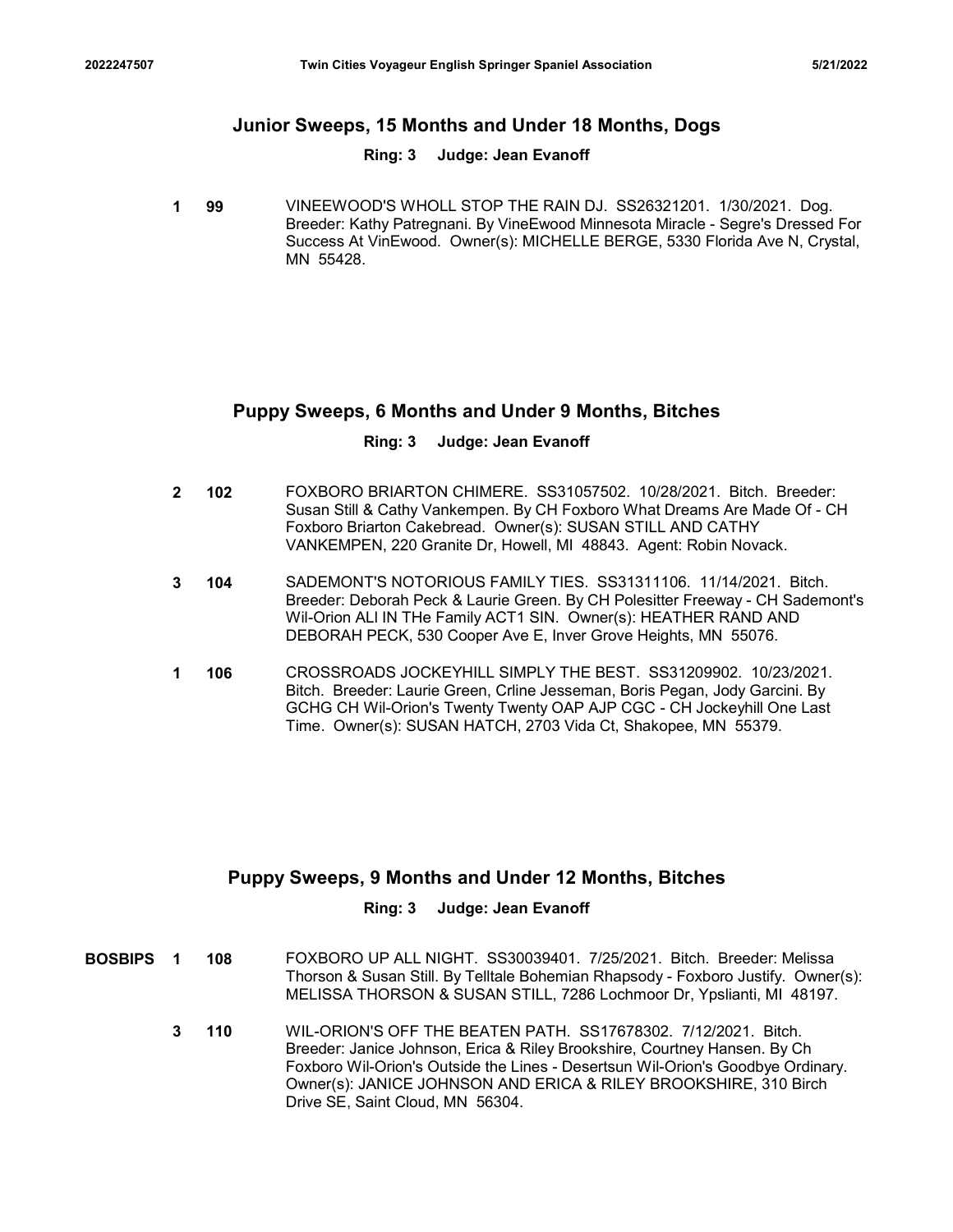# Twin Cities Voyageur English Springer Spaniel Association 5/21/2022<br>Junior Sweeps, 15 Months and Under 18 Months, Dogs<br>Ring: 3 Judge: Jean Evanoff Junior Sweeps, 15 Months and Under 18 Months, Dogs

### Ring: 3 Judge: Jean Evanoff

**1 99** VINEEWOOD'S WHOLL STOP THE RAIN DJ. SS26321201. 1/30/2021. Dog. Breeder: Kathy Patregnani. By VineEwood Minnesota Miracle - Segre's Dressed For Success At VinEwood. Owner(s): MICHELLE BERGE, 5330 Florida Ave N, Crystal, MN 55428.

# Puppy Sweeps, 6 Months and Under 9 Months, Bitches

### Ring: 3 Judge: Jean Evanoff

- 102 FOXBORO BRIARTON CHIMERE. SS31057502. 10/28/2021. Bitch. Breeder: 2 Susan Still & Cathy Vankempen. By CH Foxboro What Dreams Are Made Of - CH Foxboro Briarton Cakebread. Owner(s): SUSAN STILL AND CATHY VANKEMPEN, 220 Granite Dr, Howell, MI 48843. Agent: Robin Novack.
- 104 SADEMONT'S NOTORIOUS FAMILY TIES. SS31311106. 11/14/2021. Bitch. 3 Breeder: Deborah Peck & Laurie Green. By CH Polesitter Freeway - CH Sademont's Wil-Orion ALl IN THe Family ACT1 SIN. Owner(s): HEATHER RAND AND DEBORAH PECK, 530 Cooper Ave E, Inver Grove Heights, MN 55076.
- 1 106 CROSSROADS JOCKEYHILL SIMPLY THE BEST. SS31209902. 10/23/2021. Bitch. Breeder: Laurie Green, Crline Jesseman, Boris Pegan, Jody Garcini. By GCHG CH Wil-Orion's Twenty Twenty OAP AJP CGC - CH Jockeyhill One Last Time. Owner(s): SUSAN HATCH, 2703 Vida Ct, Shakopee, MN 55379.

# Puppy Sweeps, 9 Months and Under 12 Months, Bitches

### Ring: 3 Judge: Jean Evanoff

- **BOSBIPS 1 108** FOXBORO UP ALL NIGHT. SS30039401. 7/25/2021. Bitch. Breeder: Melissa Thorson & Susan Still. By Telltale Bohemian Rhapsody - Foxboro Justify. Owner(s): MELISSA THORSON & SUSAN STILL, 7286 Lochmoor Dr, Ypslianti, MI 48197.
	- 110 WIL-ORION'S OFF THE BEATEN PATH. SS17678302. 7/12/2021. Bitch. Breeder: Janice Johnson, Erica & Riley Brookshire, Courtney Hansen. By Ch Foxboro Wil-Orion's Outside the Lines - Desertsun Wil-Orion's Goodbye Ordinary. Owner(s): JANICE JOHNSON AND ERICA & RILEY BROOKSHIRE, 310 Birch Drive SE, Saint Cloud, MN 56304. 3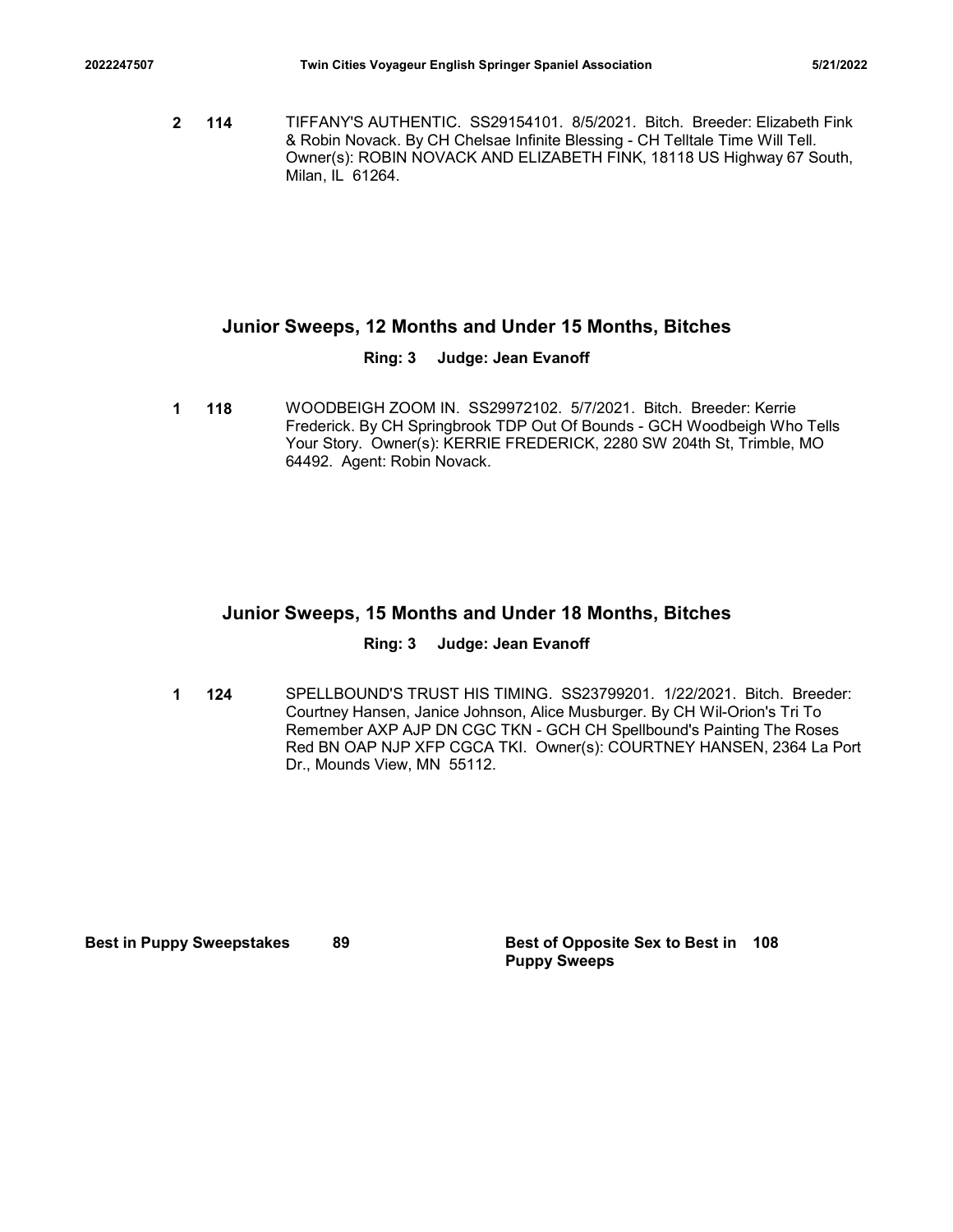2022247507 Twin Cities Voyageur English Springer Spaniel Association 5/21/2022<br>2022247507 TIFFANY'S AUTHENTIC. SS29154101. 8/5/2021. Bitch. Breeder: Elizabeth Fink<br>2014 & Robin Novack. By CH Chelsae Infinite Blessing - CH 114 TIFFANY'S AUTHENTIC. SS29154101. 8/5/2021. Bitch. Breeder: Elizabeth Fink 2 & Robin Novack. By CH Chelsae Infinite Blessing - CH Telltale Time Will Tell. Owner(s): ROBIN NOVACK AND ELIZABETH FINK, 18118 US Highway 67 South, Milan, IL 61264.

# Junior Sweeps, 12 Months and Under 15 Months, Bitches

# Ring: 3 Judge: Jean Evanoff

**1 118** WOODBEIGH ZOOM IN. SS29972102. 5/7/2021. Bitch. Breeder: Kerrie Frederick. By CH Springbrook TDP Out Of Bounds - GCH Woodbeigh Who Tells Your Story. Owner(s): KERRIE FREDERICK, 2280 SW 204th St, Trimble, MO 64492. Agent: Robin Novack.

# Junior Sweeps, 15 Months and Under 18 Months, Bitches

# Ring: 3 Judge: Jean Evanoff

**1 124** SPELLBOUND'S TRUST HIS TIMING. SS23799201. 1/22/2021. Bitch. Breeder: Courtney Hansen, Janice Johnson, Alice Musburger. By CH Wil-Orion's Tri To Remember AXP AJP DN CGC TKN - GCH CH Spellbound's Painting The Roses Red BN OAP NJP XFP CGCA TKI. Owner(s): COURTNEY HANSEN, 2364 La Port Dr., Mounds View, MN 55112. Junior Sweeps, 15 Months and Under 18 Months, Bitches<br>
Ring: 3 Judge: Jean Evanoff<br>
124 SPELLBOUND'S TRUS THIS TIMING. S623799201. 1/222021. Blitch. Reeder:<br>
Courtney Hansen. Janice Johnson, Alice Musburger. By CH WII-Orio

Puppy Sweeps Best of Opposite Sex to Best in 108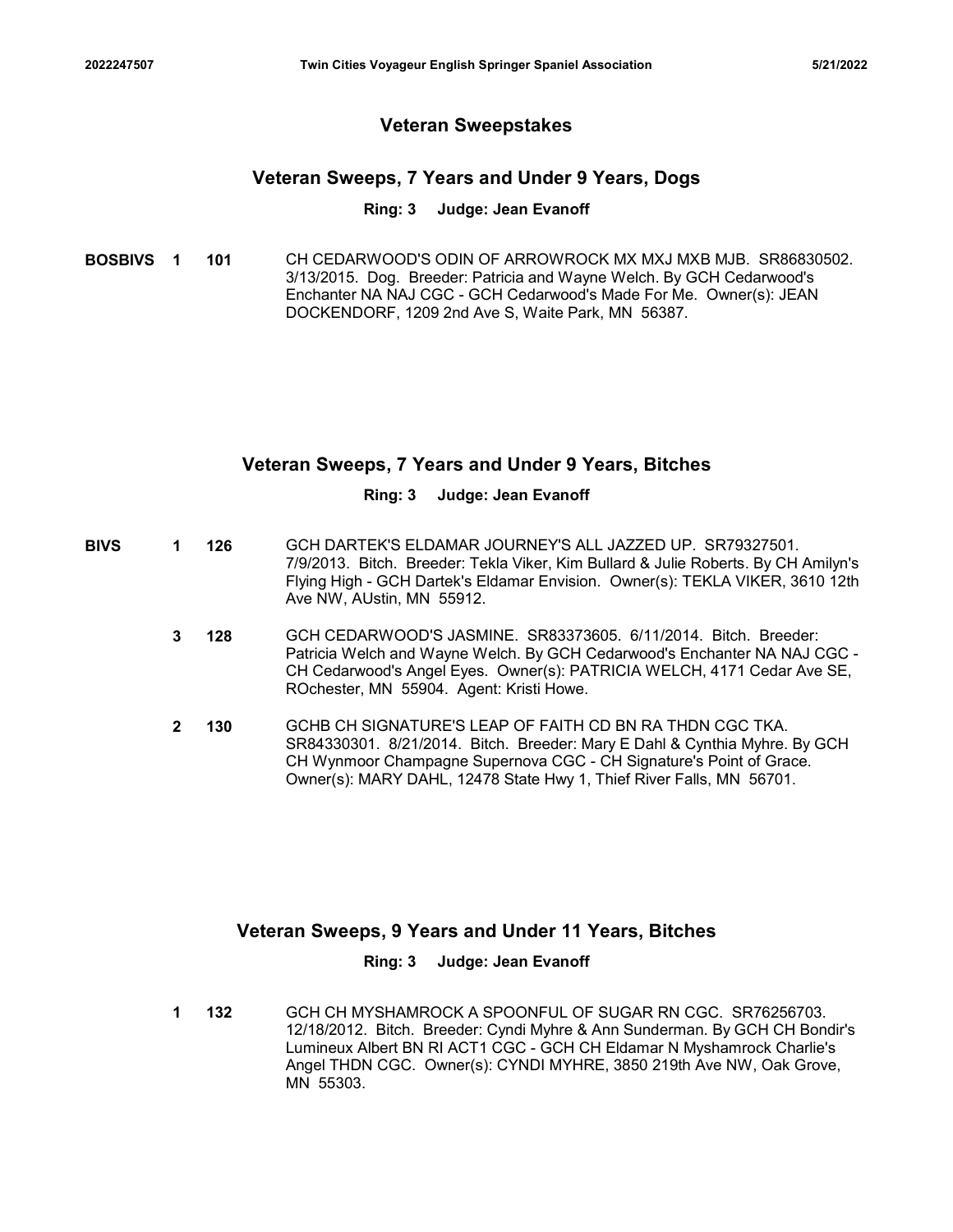# Veteran Sweepstakes

# Veteran Sweeps, 7 Years and Under 9 Years, Dogs

### Ring: 3 Judge: Jean Evanoff

**BOSBIVS 1 101** CH CEDARWOOD'S ODIN OF ARROWROCK MX MXJ MXB MJB. SR86830502. 3/13/2015. Dog. Breeder: Patricia and Wayne Welch. By GCH Cedarwood's Enchanter NA NAJ CGC - GCH Cedarwood's Made For Me. Owner(s): JEAN DOCKENDORF, 1209 2nd Ave S, Waite Park, MN 56387.

# Veteran Sweeps, 7 Years and Under 9 Years, Bitches

### Ring: 3 Judge: Jean Evanoff

- **BIVS 1 126** GCH DARTEK'S ELDAMAR JOURNEY'S ALL JAZZED UP. SR79327501. 7/9/2013. Bitch. Breeder: Tekla Viker, Kim Bullard & Julie Roberts. By CH Amilyn's Flying High - GCH Dartek's Eldamar Envision. Owner(s): TEKLA VIKER, 3610 12th Ave NW, AUstin, MN 55912.
	- **3 128** GCH CEDARWOOD'S JASMINE. SR83373605. 6/11/2014. Bitch. Breeder: Patricia Welch and Wayne Welch. By GCH Cedarwood's Enchanter NA NAJ CGC - CH Cedarwood's Angel Eyes. Owner(s): PATRICIA WELCH, 4171 Cedar Ave SE, ROchester, MN 55904. Agent: Kristi Howe.
	- 130 GCHB CH SIGNATURE'S LEAP OF FAITH CD BN RA THDN CGC TKA. 2 SR84330301. 8/21/2014. Bitch. Breeder: Mary E Dahl & Cynthia Myhre. By GCH CH Wynmoor Champagne Supernova CGC - CH Signature's Point of Grace. Owner(s): MARY DAHL, 12478 State Hwy 1, Thief River Falls, MN 56701.

# Veteran Sweeps, 9 Years and Under 11 Years, Bitches

# Ring: 3 Judge: Jean Evanoff

132 GCH CH MYSHAMROCK A SPOONFUL OF SUGAR RN CGC. SR76256703. 12/18/2012. Bitch. Breeder: Cyndi Myhre & Ann Sunderman. By GCH CH Bondir's Lumineux Albert BN RI ACT1 CGC - GCH CH Eldamar N Myshamrock Charlie's Angel THDN CGC. Owner(s): CYNDI MYHRE, 3850 219th Ave NW, Oak Grove, MN 55303. 1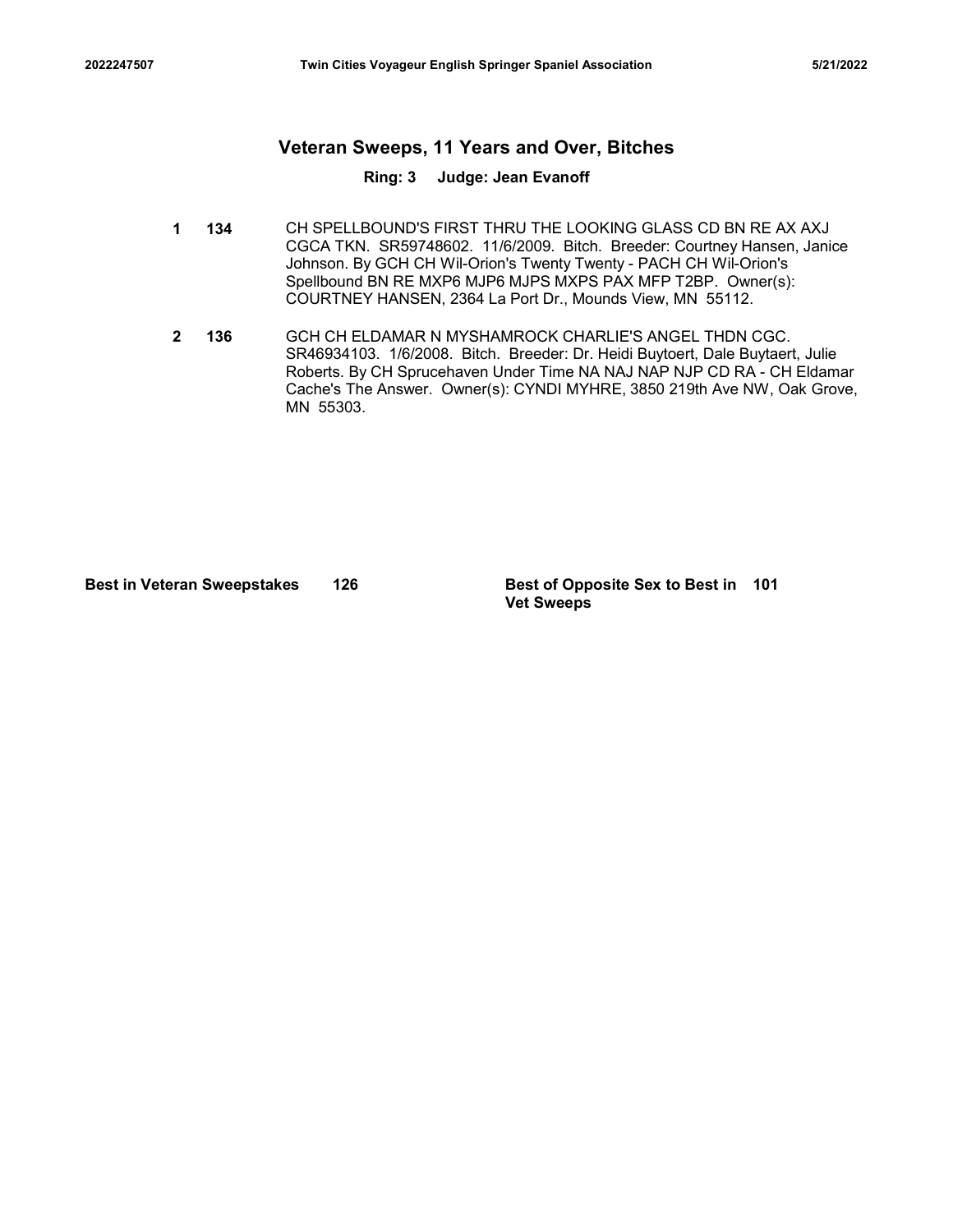# <sup>2022247507</sup> Twin Cities Voyageur English Springer Spaniel Association 5/21/2022 Veteran Sweeps, 11 Years and Over, Bitches

### Ring: 3 Judge: Jean Evanoff

- 1 134 CH SPELLBOUND'S FIRST THRU THE LOOKING GLASS CD BN RE AX AXJ CGCA TKN. SR59748602. 11/6/2009. Bitch. Breeder: Courtney Hansen, Janice Johnson. By GCH CH Wil-Orion's Twenty Twenty - PACH CH Wil-Orion's Spellbound BN RE MXP6 MJP6 MJPS MXPS PAX MFP T2BP. Owner(s): COURTNEY HANSEN, 2364 La Port Dr., Mounds View, MN 55112.
- 136 GCH CH ELDAMAR N MYSHAMROCK CHARLIE'S ANGEL THDN CGC. 2 SR46934103. 1/6/2008. Bitch. Breeder: Dr. Heidi Buytoert, Dale Buytaert, Julie Roberts. By CH Sprucehaven Under Time NA NAJ NAP NJP CD RA - CH Eldamar Cache's The Answer. Owner(s): CYNDI MYHRE, 3850 219th Ave NW, Oak Grove, MN 55303. France Control Control Control Control Control Control Control Control Control Control Control Control Control Control Control Control Control Control Control Control Control Control Control Control Control Control Control

Vet Sweeps Best of Opposite Sex to Best in 101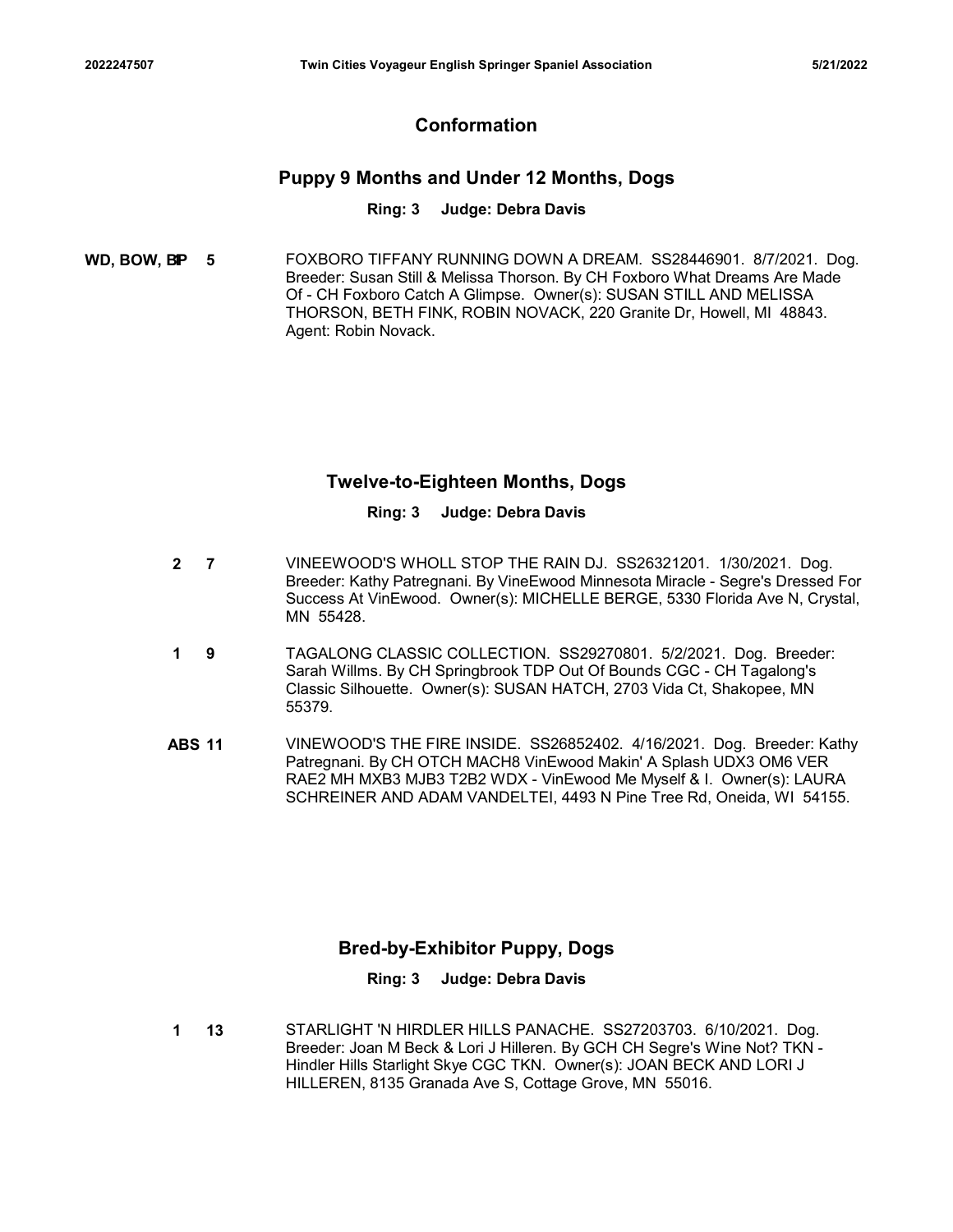# Conformation

# Puppy 9 Months and Under 12 Months, Dogs

### Ring: 3 Judge: Debra Davis

**WD, BOW, BP 5** FOXBORO TIFFANY RUNNING DOWN A DREAM. SS28446901. 8/7/2021. Dog. Breeder: Susan Still & Melissa Thorson. By CH Foxboro What Dreams Are Made Of - CH Foxboro Catch A Glimpse. Owner(s): SUSAN STILL AND MELISSA THORSON, BETH FINK, ROBIN NOVACK, 220 Granite Dr, Howell, MI 48843. Agent: Robin Novack.

# Twelve-to-Eighteen Months, Dogs

### Ring: 3 Judge: Debra Davis

- 7 VINEEWOOD'S WHOLL STOP THE RAIN DJ. SS26321201. 1/30/2021. Dog. 2 Breeder: Kathy Patregnani. By VineEwood Minnesota Miracle - Segre's Dressed For Success At VinEwood. Owner(s): MICHELLE BERGE, 5330 Florida Ave N, Crystal, MN 55428.
- 9 TAGALONG CLASSIC COLLECTION. SS29270801. 5/2/2021. Dog. Breeder: 1 Sarah Willms. By CH Springbrook TDP Out Of Bounds CGC - CH Tagalong's Classic Silhouette. Owner(s): SUSAN HATCH, 2703 Vida Ct, Shakopee, MN 55379.
- Twelve-to-Eighteen Months, Dogs<br>
Ring: 3 Judge: Debra Davis<br>
2 7 VINEEWOOD'S WHOLL STOP THE RAIN DJ. SS26321201. 1/30/2021. Dog.<br>
Breeder: Kathy Patregnani. By VineEwood Minnesota Miracle Segre's Dressed For<br>
Success At Patregnani. By CH OTCH MACH8 VinEwood Makin' A Splash UDX3 OM6 VER RAE2 MH MXB3 MJB3 T2B2 WDX - VinEwood Me Myself & I. Owner(s): LAURA SCHREINER AND ADAM VANDELTEI, 4493 N Pine Tree Rd, Oneida, WI 54155.

# Bred-by-Exhibitor Puppy, Dogs

### Ring: 3 Judge: Debra Davis

13 STARLIGHT 'N HIRDLER HILLS PANACHE. SS27203703. 6/10/2021. Dog. Breeder: Joan M Beck & Lori J Hilleren. By GCH CH Segre's Wine Not? TKN - Hindler Hills Starlight Skye CGC TKN. Owner(s): JOAN BECK AND LORI J HILLEREN, 8135 Granada Ave S, Cottage Grove, MN 55016. 1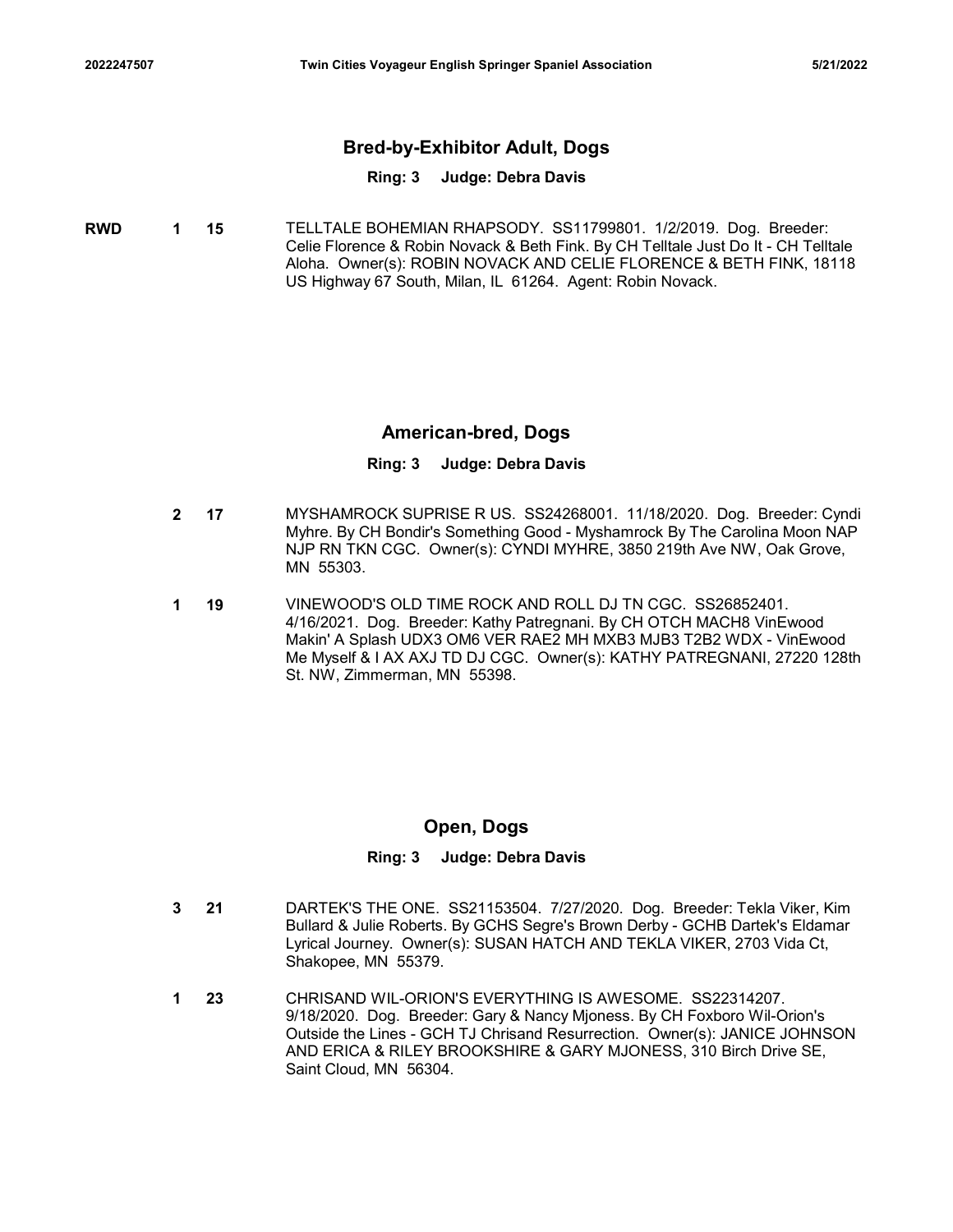# <sup>2022247507</sup> Twin Cities Voyageur English Springer Spaniel Association 5/21/2022 Bred-by-Exhibitor Adult, Dogs

# Ring: 3 Judge: Debra Davis

| <b>RWD</b> | 1 15 | TELLTALE BOHEMIAN RHAPSODY. SS11799801. 1/2/2019. Dog. Breeder:                    |
|------------|------|------------------------------------------------------------------------------------|
|            |      | Celie Florence & Robin Novack & Beth Fink. By CH Telltale Just Do It - CH Telltale |
|            |      | Aloha. Owner(s): ROBIN NOVACK AND CELIE FLORENCE & BETH FINK, 18118                |
|            |      | US Highway 67 South, Milan, IL 61264. Agent: Robin Novack.                         |

# American-bred, Dogs

### Ring: 3 Judge: Debra Davis

- 17 MYSHAMROCK SUPRISE R US. SS24268001. 11/18/2020. Dog. Breeder: Cyndi 2 Myhre. By CH Bondir's Something Good - Myshamrock By The Carolina Moon NAP NJP RN TKN CGC. Owner(s): CYNDI MYHRE, 3850 219th Ave NW, Oak Grove, MN 55303.
- 19 VINEWOOD'S OLD TIME ROCK AND ROLL DJ TN CGC. SS26852401. 1 4/16/2021. Dog. Breeder: Kathy Patregnani. By CH OTCH MACH8 VinEwood Makin' A Splash UDX3 OM6 VER RAE2 MH MXB3 MJB3 T2B2 WDX - VinEwood Me Myself & I AX AXJ TD DJ CGC. Owner(s): KATHY PATREGNANI, 27220 128th St. NW, Zimmerman, MN 55398.

# Open, Dogs

- 21 DARTEK'S THE ONE. SS21153504. 7/27/2020. Dog. Breeder: Tekla Viker, Kim 3 Bullard & Julie Roberts. By GCHS Segre's Brown Derby - GCHB Dartek's Eldamar Lyrical Journey. Owner(s): SUSAN HATCH AND TEKLA VIKER, 2703 Vida Ct, Shakopee, MN 55379.
- 23 CHRISAND WIL-ORION'S EVERYTHING IS AWESOME. SS22314207. 9/18/2020. Dog. Breeder: Gary & Nancy Mjoness. By CH Foxboro Wil-Orion's Outside the Lines - GCH TJ Chrisand Resurrection. Owner(s): JANICE JOHNSON AND ERICA & RILEY BROOKSHIRE & GARY MJONESS, 310 Birch Drive SE, Saint Cloud, MN 56304. 1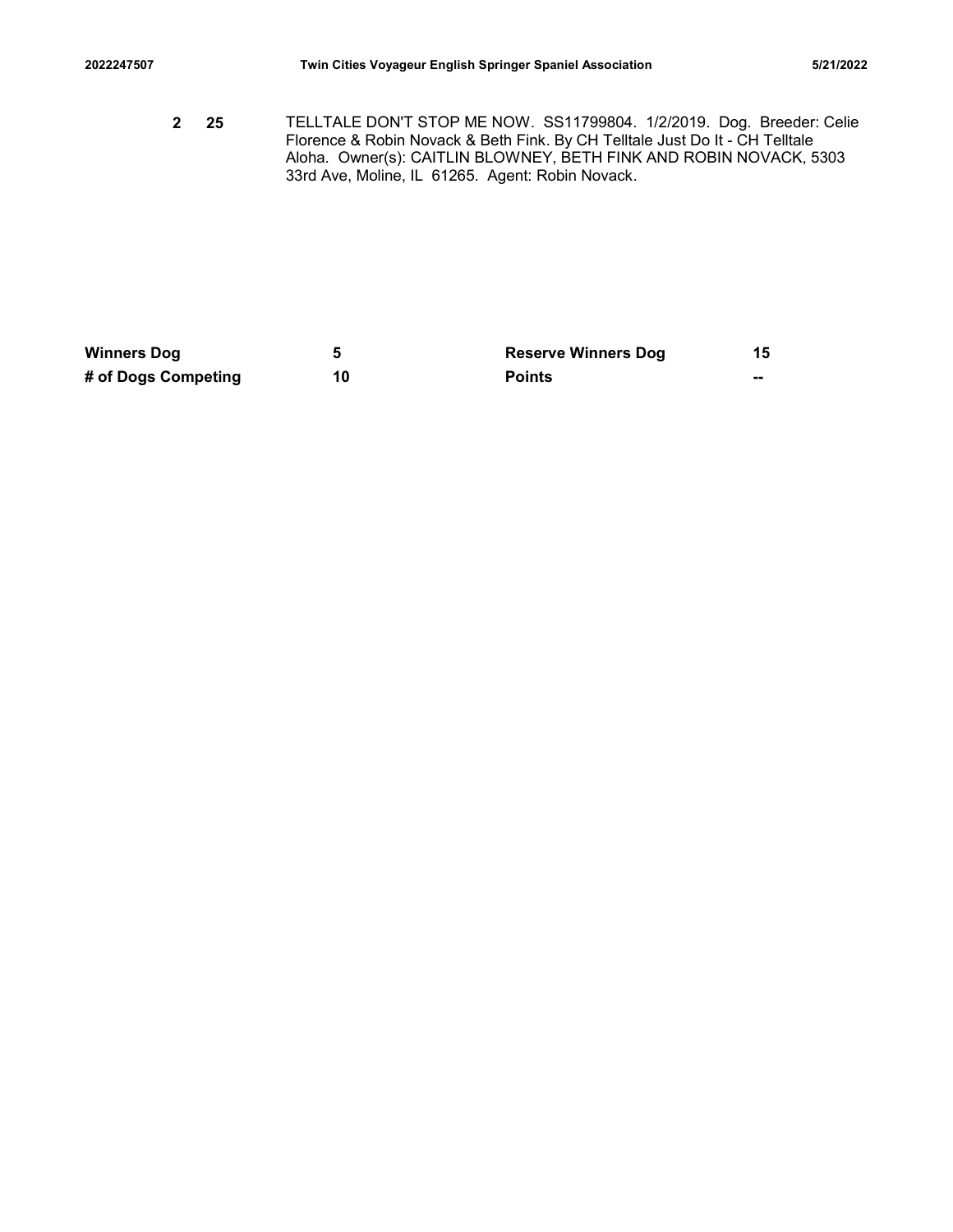2022247507 Twin Cities Voyageur English Springer Spaniel Association 5/21/2022<br>2022 TELLTALE DON'T STOP ME NOW. SS11799804. 1/2/2019. Dog. Breeder: Celie<br>2022 Florence & Robin Novack & Beth Fink. By CH Telltale Just Do It 25 TELLTALE DON'T STOP ME NOW. SS11799804. 1/2/2019. Dog. Breeder: Celie 2 Florence & Robin Novack & Beth Fink. By CH Telltale Just Do It - CH Telltale Aloha. Owner(s): CAITLIN BLOWNEY, BETH FINK AND ROBIN NOVACK, 5303 33rd Ave, Moline, IL 61265. Agent: Robin Novack. 2022247507 Twin Cities Voyageur English Springer Spaniel Association 6/21/2022<br>
25 TELLTALE DONT STOP ME NOW. SS11799804. 1/2/2019. Dog. Breeder: Celie<br>
Fichence & Robin Novack & Beth Fink. By CH Tellitate Just Do It - CH 202247507<br>
Twin Cities Voyageur English Springer Spaniel Association<br>
2 25 TELLTALE DON'T STOP ME NOW. SS11799804. 1/2/2019. Dog. Breeder: Celie<br>
Forence & Robin Novack & Beth Fink. By CH Telltis Just Do It - CH relitate<br>

| <b>Winners Dog</b>  |    | <b>Reserve Winners Dog</b> |    |
|---------------------|----|----------------------------|----|
| # of Dogs Competing | 10 | <b>Points</b>              | -- |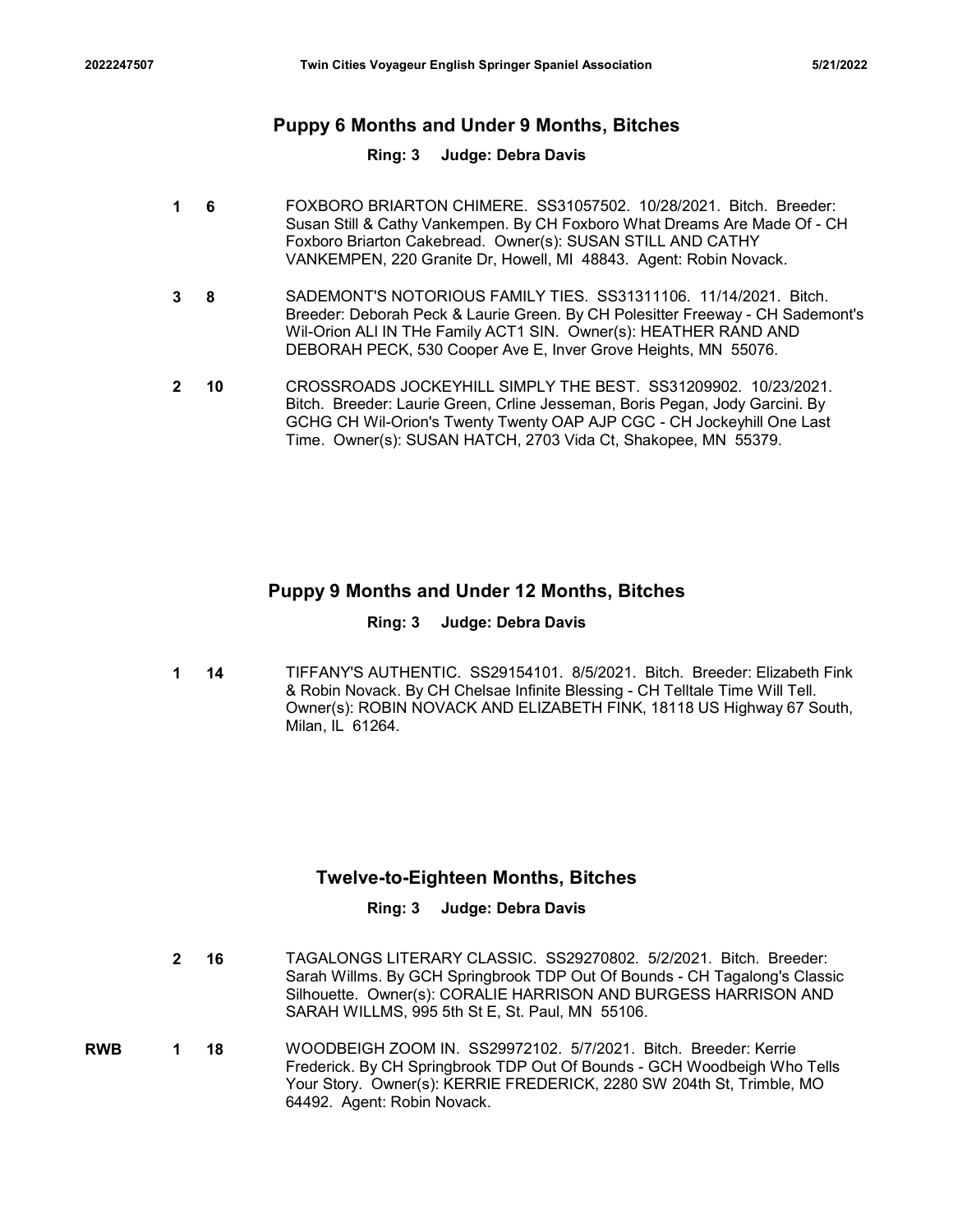# <sup>2022247507</sup> Twin Cities Voyageur English Springer Spaniel Association 5/21/2022 Puppy 6 Months and Under 9 Months, Bitches

### Ring: 3 Judge: Debra Davis

- 6 FOXBORO BRIARTON CHIMERE. SS31057502. 10/28/2021. Bitch. Breeder: 1 Susan Still & Cathy Vankempen. By CH Foxboro What Dreams Are Made Of - CH Foxboro Briarton Cakebread. Owner(s): SUSAN STILL AND CATHY VANKEMPEN, 220 Granite Dr, Howell, MI 48843. Agent: Robin Novack.
- 8 SADEMONT'S NOTORIOUS FAMILY TIES. SS31311106. 11/14/2021. Bitch. 3 Breeder: Deborah Peck & Laurie Green. By CH Polesitter Freeway - CH Sademont's Wil-Orion ALl IN THe Family ACT1 SIN. Owner(s): HEATHER RAND AND DEBORAH PECK, 530 Cooper Ave E, Inver Grove Heights, MN 55076.
- 10 CROSSROADS JOCKEYHILL SIMPLY THE BEST. SS31209902. 10/23/2021. 2 Bitch. Breeder: Laurie Green, Crline Jesseman, Boris Pegan, Jody Garcini. By GCHG CH Wil-Orion's Twenty Twenty OAP AJP CGC - CH Jockeyhill One Last Time. Owner(s): SUSAN HATCH, 2703 Vida Ct, Shakopee, MN 55379.

# Puppy 9 Months and Under 12 Months, Bitches

### Ring: 3 Judge: Debra Davis

1 14 TIFFANY'S AUTHENTIC. SS29154101. 8/5/2021. Bitch. Breeder: Elizabeth Fink & Robin Novack. By CH Chelsae Infinite Blessing - CH Telltale Time Will Tell. Owner(s): ROBIN NOVACK AND ELIZABETH FINK, 18118 US Highway 67 South, Milan, IL 61264.

# Twelve-to-Eighteen Months, Bitches

- 16 TAGALONGS LITERARY CLASSIC. SS29270802. 5/2/2021. Bitch. Breeder: 2 Sarah Willms. By GCH Springbrook TDP Out Of Bounds - CH Tagalong's Classic Silhouette. Owner(s): CORALIE HARRISON AND BURGESS HARRISON AND SARAH WILLMS, 995 5th St E, St. Paul, MN 55106.
- **RWB 1 18** WOODBEIGH ZOOM IN. SS29972102. 5/7/2021. Bitch. Breeder: Kerrie Frederick. By CH Springbrook TDP Out Of Bounds - GCH Woodbeigh Who Tells Your Story. Owner(s): KERRIE FREDERICK, 2280 SW 204th St, Trimble, MO 64492. Agent: Robin Novack.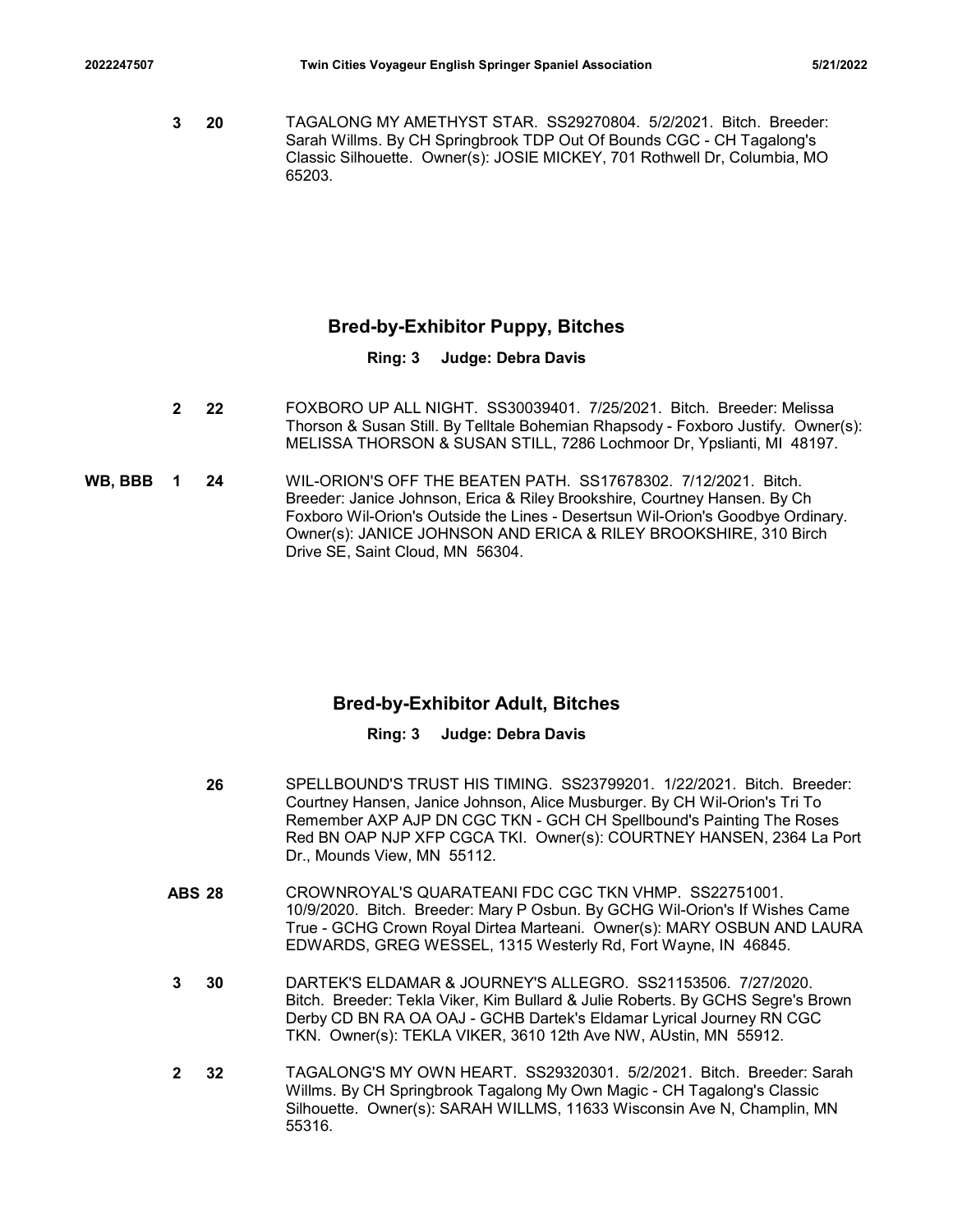7607 Twin Cities Voyageur English Springer Spaniel Association 5/21/2022<br>3 20 TAGALONG MY AMETHYST STAR. SS29270804. 5/2/2021. Bitch. Breeder:<br>19 Sarah Willms. By CH Springbrook TDP Out Of Bounds CGC - CH Tagalong's<br>19 Cla 20 TAGALONG MY AMETHYST STAR. SS29270804. 5/2/2021. Bitch. Breeder: 3 Sarah Willms. By CH Springbrook TDP Out Of Bounds CGC - CH Tagalong's Classic Silhouette. Owner(s): JOSIE MICKEY, 701 Rothwell Dr, Columbia, MO 65203.

# Bred-by-Exhibitor Puppy, Bitches

# Ring: 3 Judge: Debra Davis

- 22 FOXBORO UP ALL NIGHT. SS30039401. 7/25/2021. Bitch. Breeder: Melissa 2 Thorson & Susan Still. By Telltale Bohemian Rhapsody - Foxboro Justify. Owner(s): MELISSA THORSON & SUSAN STILL, 7286 Lochmoor Dr, Ypslianti, MI 48197.
- 24 WIL-ORION'S OFF THE BEATEN PATH. SS17678302. 7/12/2021. Bitch. WB, BBB 1 Breeder: Janice Johnson, Erica & Riley Brookshire, Courtney Hansen. By Ch Foxboro Wil-Orion's Outside the Lines - Desertsun Wil-Orion's Goodbye Ordinary. Owner(s): JANICE JOHNSON AND ERICA & RILEY BROOKSHIRE, 310 Birch Drive SE, Saint Cloud, MN 56304.

# Bred-by-Exhibitor Adult, Bitches

- 26 SPELLBOUND'S TRUST HIS TIMING. SS23799201. 1/22/2021. Bitch. Breeder: Courtney Hansen, Janice Johnson, Alice Musburger. By CH Wil-Orion's Tri To Remember AXP AJP DN CGC TKN - GCH CH Spellbound's Painting The Roses Red BN OAP NJP XFP CGCA TKI. Owner(s): COURTNEY HANSEN, 2364 La Port Dr., Mounds View, MN 55112. Ereedr: Janice Johnson, Erias & Filey Brookshire, Courtney Hansen, By Christman (Apple Towards)<br>
Foxboro Wi-Orion's Outside the Lines - Desertsum Vil-Groin's Goodbye Ordinary.<br>
Cowner(s): JANICE JOHNSON AND ERICA & RILEY B
- 10/9/2020. Bitch. Breeder: Mary P Osbun. By GCHG Wil-Orion's If Wishes Came True - GCHG Crown Royal Dirtea Marteani. Owner(s): MARY OSBUN AND LAURA EDWARDS, GREG WESSEL, 1315 Westerly Rd, Fort Wayne, IN 46845.
- 30 DARTEK'S ELDAMAR & JOURNEY'S ALLEGRO. SS21153506. 7/27/2020. 3 Bitch. Breeder: Tekla Viker, Kim Bullard & Julie Roberts. By GCHS Segre's Brown Derby CD BN RA OA OAJ - GCHB Dartek's Eldamar Lyrical Journey RN CGC TKN. Owner(s): TEKLA VIKER, 3610 12th Ave NW, AUstin, MN 55912.
- 32 TAGALONG'S MY OWN HEART. SS29320301. 5/2/2021. Bitch. Breeder: Sarah Willms. By CH Springbrook Tagalong My Own Magic - CH Tagalong's Classic Silhouette. Owner(s): SARAH WILLMS, 11633 Wisconsin Ave N, Champlin, MN 55316. 2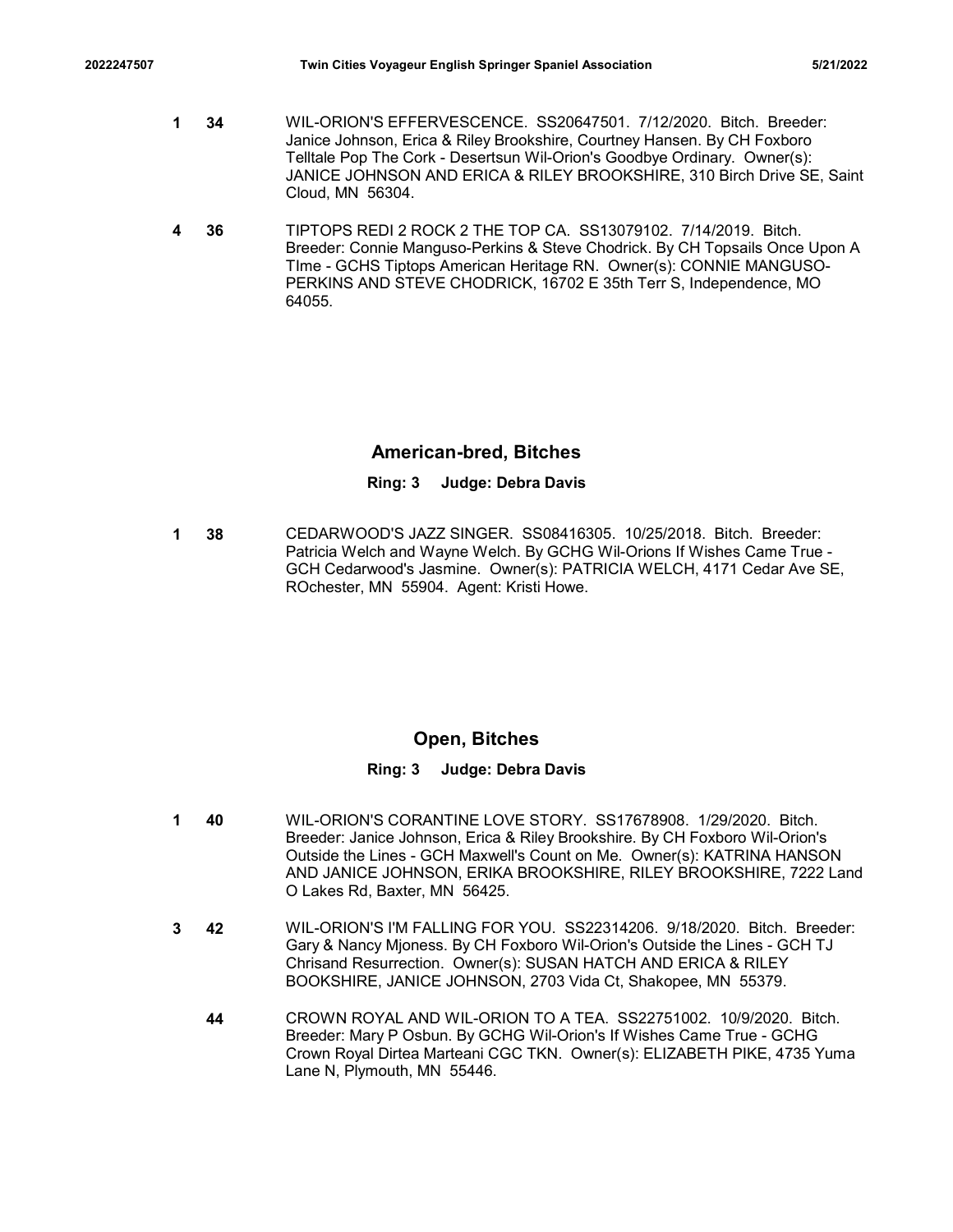- 2022247507 Twin Cities Voyageur English Springer Spaniel Association 5/21/2022<br>1 34 WIL-ORION'S EFFERVESCENCE. SS20647501. 7/12/2020. Bitch. Breeder:<br>1 34 WIL-ORION'S EFFERVESCENCE. SS20647501. 7/12/2020. Bitch. Breeder:<br>1 34 WIL-ORION'S EFFERVESCENCE. SS20647501. 7/12/2020. Bitch. Breeder: 1 Janice Johnson, Erica & Riley Brookshire, Courtney Hansen. By CH Foxboro Telltale Pop The Cork - Desertsun Wil-Orion's Goodbye Ordinary. Owner(s): JANICE JOHNSON AND ERICA & RILEY BROOKSHIRE, 310 Birch Drive SE, Saint Cloud, MN 56304.
	- 36 TIPTOPS REDI 2 ROCK 2 THE TOP CA. SS13079102. 7/14/2019. Bitch. 4 Breeder: Connie Manguso-Perkins & Steve Chodrick. By CH Topsails Once Upon A TIme - GCHS Tiptops American Heritage RN. Owner(s): CONNIE MANGUSO-PERKINS AND STEVE CHODRICK, 16702 E 35th Terr S, Independence, MO 64055.

# American-bred, Bitches

### Ring: 3 Judge: Debra Davis

**1 38 CEDARWOOD'S JAZZ SINGER. SS08416305. 10/25/2018. Bitch. Breeder:** CHA Patricia Welch and Wayne Welch. By GCHG Wil-Orions If Wishes Came True - GCH Cedarwood's Jasmine. Owner(s): PATRICIA WELCH, 4171 Cedar Ave SE, ROchester, MN 55904. Agent: Kristi Howe.

# Open, Bitches

- 40 WIL-ORION'S CORANTINE LOVE STORY. SS17678908. 1/29/2020. Bitch. 1 Breeder: Janice Johnson, Erica & Riley Brookshire. By CH Foxboro Wil-Orion's Outside the Lines - GCH Maxwell's Count on Me. Owner(s): KATRINA HANSON AND JANICE JOHNSON, ERIKA BROOKSHIRE, RILEY BROOKSHIRE, 7222 Land O Lakes Rd, Baxter, MN 56425.
- 42 WIL-ORION'S I'M FALLING FOR YOU. SS22314206. 9/18/2020. Bitch. Breeder: 3 Gary & Nancy Mjoness. By CH Foxboro Wil-Orion's Outside the Lines - GCH TJ Chrisand Resurrection. Owner(s): SUSAN HATCH AND ERICA & RILEY BOOKSHIRE, JANICE JOHNSON, 2703 Vida Ct, Shakopee, MN 55379.
	- 44 CROWN ROYAL AND WIL-ORION TO A TEA. SS22751002. 10/9/2020. Bitch. Breeder: Mary P Osbun. By GCHG Wil-Orion's If Wishes Came True - GCHG Crown Royal Dirtea Marteani CGC TKN. Owner(s): ELIZABETH PIKE, 4735 Yuma Lane N, Plymouth, MN 55446.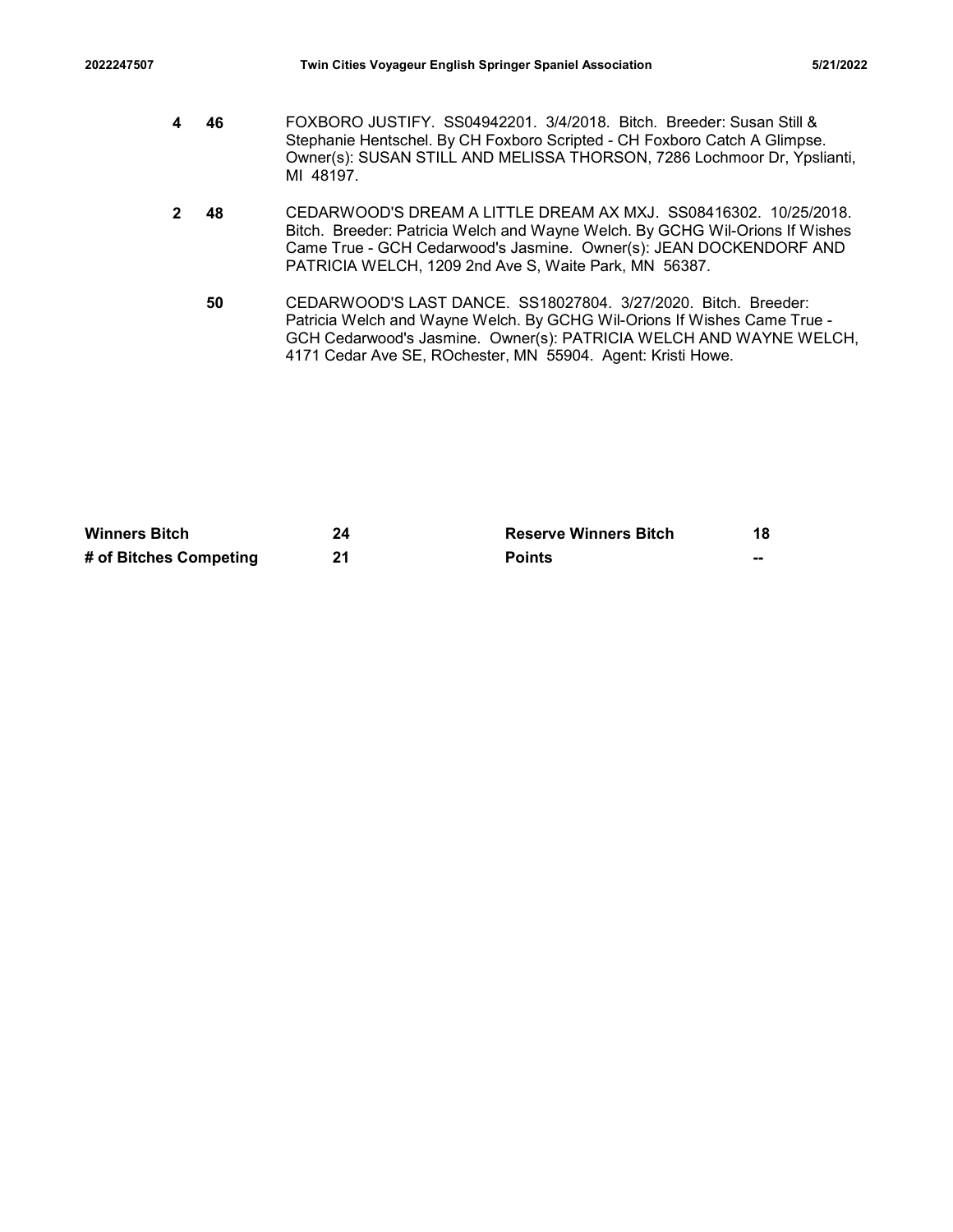- 2022247507 Twin Cities Voyageur English Springer Spaniel Association 5/21/2022<br>2022247507 Twin Cities Voyageur English Springer Spaniel Association<br>4 G FOXBORO JUSTIFY. SS04942201. 3/4/2018. Bitch. Breeder: Susan Still &<br>2 46 FOXBORO JUSTIFY. SS04942201. 3/4/2018. Bitch. Breeder: Susan Still & 4 Stephanie Hentschel. By CH Foxboro Scripted - CH Foxboro Catch A Glimpse. Owner(s): SUSAN STILL AND MELISSA THORSON, 7286 Lochmoor Dr, Ypslianti, MI 48197.
- 48 CEDARWOOD'S DREAM A LITTLE DREAM AX MXJ. SS08416302. 10/25/2018. 2 Bitch. Breeder: Patricia Welch and Wayne Welch. By GCHG Wil-Orions If Wishes Came True - GCH Cedarwood's Jasmine. Owner(s): JEAN DOCKENDORF AND PATRICIA WELCH, 1209 2nd Ave S, Waite Park, MN 56387. Sephenie Herschei, By CH Foxboro Scripted - CH Foxboro Catch A Glimpse<br>
24 SubSAN STILL AND MELISSA THORSON, 7286 Lochmocr Dr, Ypsilanti,<br>
24 CEDARWOOD'S DREAM A LITTLE DREAM AX MXJ. SS084-45302. 10/25/2018.<br>
24 CEDARWOOD' Owner(st): SUSAN STILL AND MELISSA THORSON, 7286 Lochmoor Dr, Ypslianti,<br>
MI 48197.<br>
2 48 CEDARWOOD'S DREAM ALITTLE DREAM AX MXJ. SS08416302. 10/25/2018.<br>
Bitch. Breeder: Patricia Welch and Wayne Weich. By GCHG Wil-Drion
	- 50 CEDARWOOD'S LAST DANCE. SS18027804. 3/27/2020. Bitch. Breeder: Patricia Welch and Wayne Welch. By GCHG Wil-Orions If Wishes Came True - GCH Cedarwood's Jasmine. Owner(s): PATRICIA WELCH AND WAYNE WELCH, 4171 Cedar Ave SE, ROchester, MN 55904. Agent: Kristi Howe.

| <b>Winners Bitch</b>   | <b>Reserve Winners Bitch</b> |    |
|------------------------|------------------------------|----|
| # of Bitches Competing | <b>Points</b>                | -- |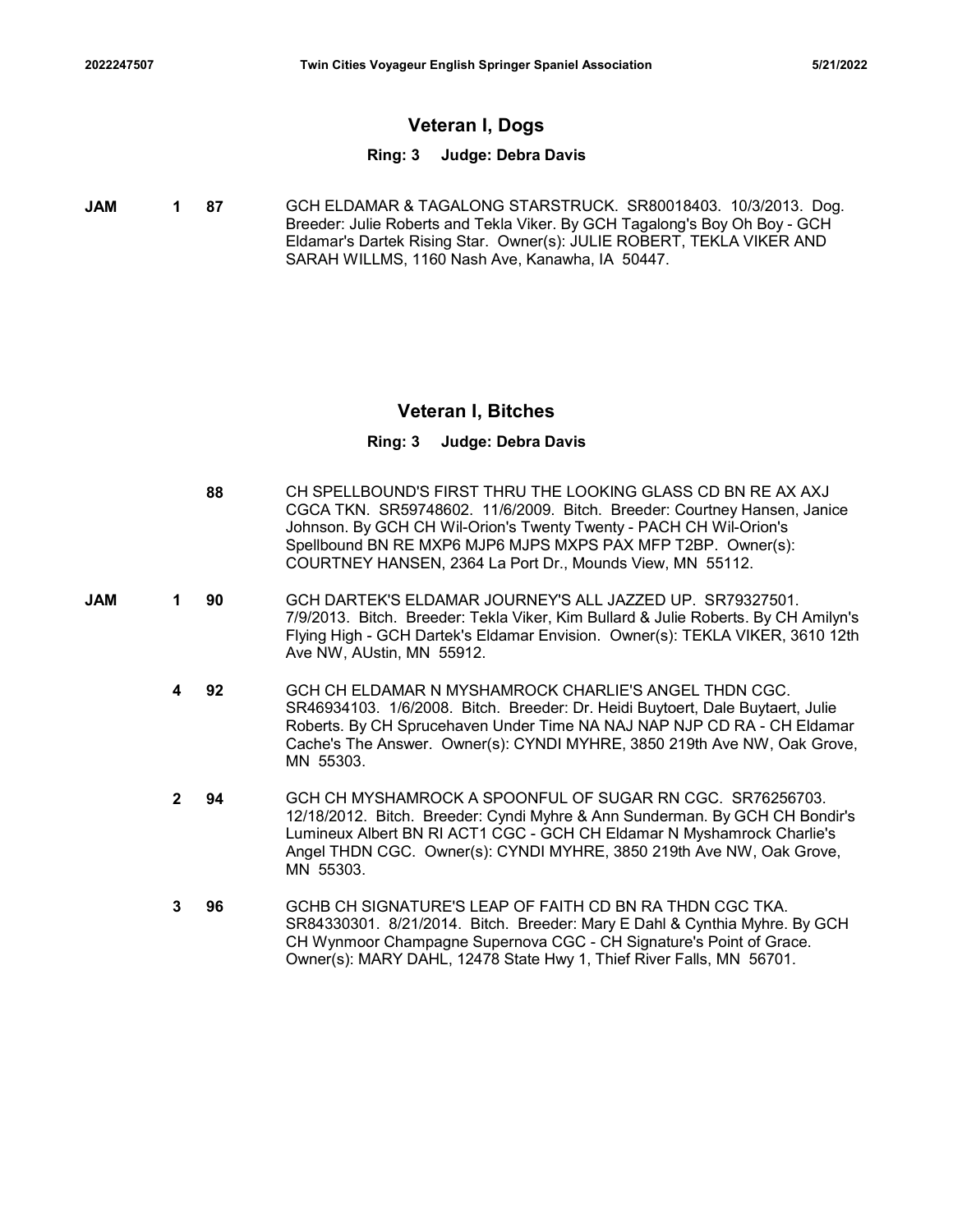# Veteran I, Dogs

### Ring: 3 Judge: Debra Davis

**JAM 1 87** GCH ELDAMAR & TAGALONG STARSTRUCK. SR80018403. 10/3/2013. Dog. Breeder: Julie Roberts and Tekla Viker. By GCH Tagalong's Boy Oh Boy - GCH Eldamar's Dartek Rising Star. Owner(s): JULIE ROBERT, TEKLA VIKER AND SARAH WILLMS, 1160 Nash Ave, Kanawha, IA 50447.

### Veteran I, Bitches

- 88 CH SPELLBOUND'S FIRST THRU THE LOOKING GLASS CD BN RE AX AXJ CGCA TKN. SR59748602. 11/6/2009. Bitch. Breeder: Courtney Hansen, Janice Johnson. By GCH CH Wil-Orion's Twenty Twenty - PACH CH Wil-Orion's Spellbound BN RE MXP6 MJP6 MJPS MXPS PAX MFP T2BP. Owner(s): COURTNEY HANSEN, 2364 La Port Dr., Mounds View, MN 55112.
- **JAM 1 90** GCH DARTEK'S ELDAMAR JOURNEY'S ALL JAZZED UP. SR79327501. 7/9/2013. Bitch. Breeder: Tekla Viker, Kim Bullard & Julie Roberts. By CH Amilyn's Flying High - GCH Dartek's Eldamar Envision. Owner(s): TEKLA VIKER, 3610 12th Ave NW, AUstin, MN 55912.
	- 92 GCH CH ELDAMAR N MYSHAMROCK CHARLIE'S ANGEL THDN CGC. 4 SR46934103. 1/6/2008. Bitch. Breeder: Dr. Heidi Buytoert, Dale Buytaert, Julie Roberts. By CH Sprucehaven Under Time NA NAJ NAP NJP CD RA - CH Eldamar Cache's The Answer. Owner(s): CYNDI MYHRE, 3850 219th Ave NW, Oak Grove, MN 55303.
	- 94 GCH CH MYSHAMROCK A SPOONFUL OF SUGAR RN CGC. SR76256703. 2 12/18/2012. Bitch. Breeder: Cyndi Myhre & Ann Sunderman. By GCH CH Bondir's Lumineux Albert BN RI ACT1 CGC - GCH CH Eldamar N Myshamrock Charlie's Angel THDN CGC. Owner(s): CYNDI MYHRE, 3850 219th Ave NW, Oak Grove, MN 55303.
	- 96 GCHB CH SIGNATURE'S LEAP OF FAITH CD BN RA THDN CGC TKA. SR84330301. 8/21/2014. Bitch. Breeder: Mary E Dahl & Cynthia Myhre. By GCH CH Wynmoor Champagne Supernova CGC - CH Signature's Point of Grace. Owner(s): MARY DAHL, 12478 State Hwy 1, Thief River Falls, MN 56701. 3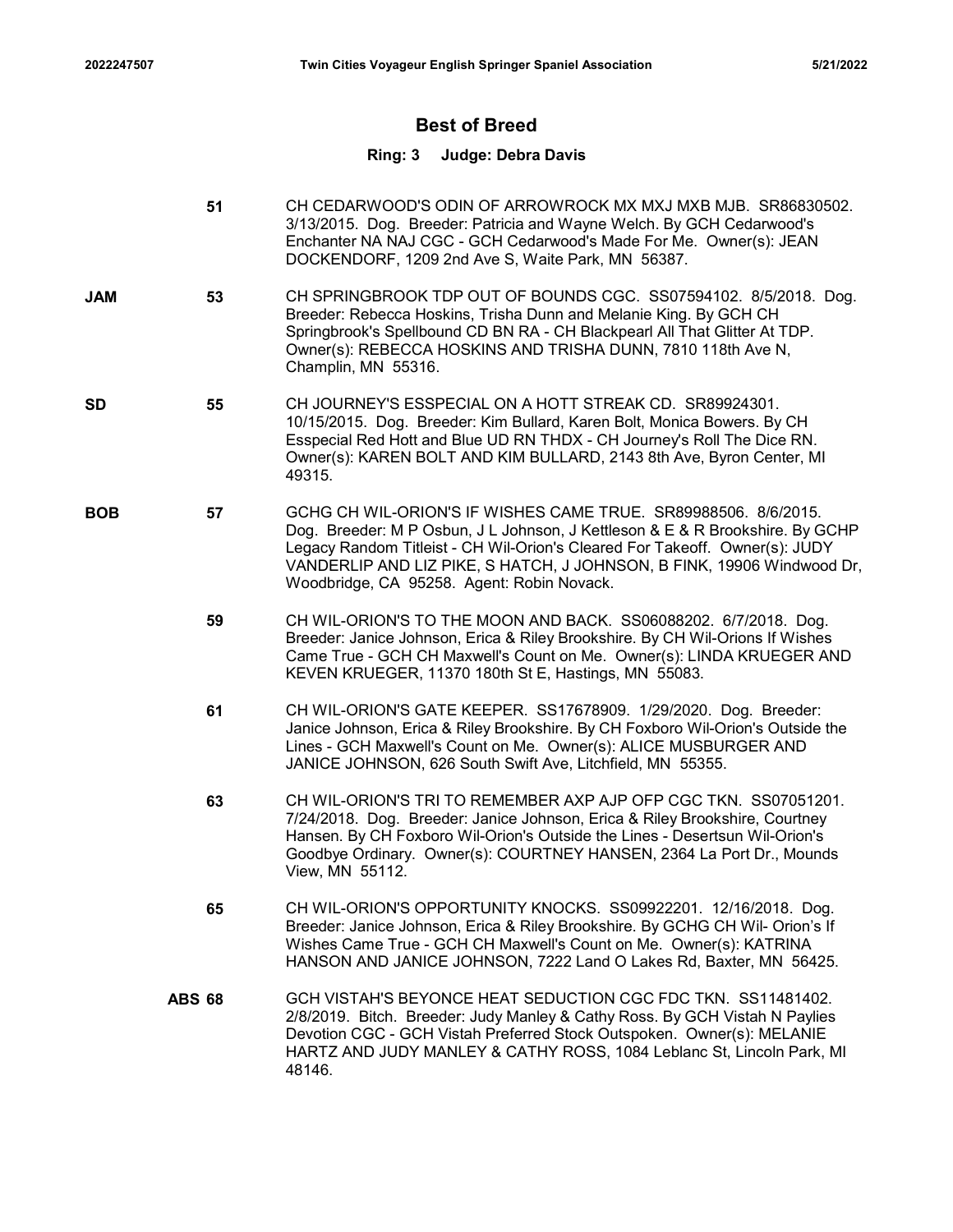# Best of Breed

- 51 CH CEDARWOOD'S ODIN OF ARROWROCK MX MXJ MXB MJB. SR86830502. 3/13/2015. Dog. Breeder: Patricia and Wayne Welch. By GCH Cedarwood's Enchanter NA NAJ CGC - GCH Cedarwood's Made For Me. Owner(s): JEAN DOCKENDORF, 1209 2nd Ave S, Waite Park, MN 56387.
- 53 CH SPRINGBROOK TDP OUT OF BOUNDS CGC. SS07594102. 8/5/2018. Dog. JAM Breeder: Rebecca Hoskins, Trisha Dunn and Melanie King. By GCH CH Springbrook's Spellbound CD BN RA - CH Blackpearl All That Glitter At TDP. Owner(s): REBECCA HOSKINS AND TRISHA DUNN, 7810 118th Ave N, Champlin, MN 55316.
- 55 CH JOURNEY'S ESSPECIAL ON A HOTT STREAK CD. SR89924301. SD 10/15/2015. Dog. Breeder: Kim Bullard, Karen Bolt, Monica Bowers. By CH Esspecial Red Hott and Blue UD RN THDX - CH Journey's Roll The Dice RN. Owner(s): KAREN BOLT AND KIM BULLARD, 2143 8th Ave, Byron Center, MI 49315.
- 57 GCHG CH WIL-ORION'S IF WISHES CAME TRUE. SR89988506. 8/6/2015. BOB Dog. Breeder: M P Osbun, J L Johnson, J Kettleson & E & R Brookshire. By GCHP Legacy Random Titleist - CH Wil-Orion's Cleared For Takeoff. Owner(s): JUDY VANDERLIP AND LIZ PIKE, S HATCH, J JOHNSON, B FINK, 19906 Windwood Dr, Woodbridge, CA 95258. Agent: Robin Novack.
	- 59 CH WIL-ORION'S TO THE MOON AND BACK. SS06088202. 6/7/2018. Dog. Breeder: Janice Johnson, Erica & Riley Brookshire. By CH Wil-Orions If Wishes Came True - GCH CH Maxwell's Count on Me. Owner(s): LINDA KRUEGER AND KEVEN KRUEGER, 11370 180th St E, Hastings, MN 55083.
	- 61 CH WIL-ORION'S GATE KEEPER. SS17678909. 1/29/2020. Dog. Breeder: Janice Johnson, Erica & Riley Brookshire. By CH Foxboro Wil-Orion's Outside the Lines - GCH Maxwell's Count on Me. Owner(s): ALICE MUSBURGER AND JANICE JOHNSON, 626 South Swift Ave, Litchfield, MN 55355.
	- 63 CH WIL-ORION'S TRI TO REMEMBER AXP AJP OFP CGC TKN. SS07051201. 7/24/2018. Dog. Breeder: Janice Johnson, Erica & Riley Brookshire, Courtney Hansen. By CH Foxboro Wil-Orion's Outside the Lines - Desertsun Wil-Orion's Goodbye Ordinary. Owner(s): COURTNEY HANSEN, 2364 La Port Dr., Mounds View, MN 55112.
	- 65 CH WIL-ORION'S OPPORTUNITY KNOCKS. SS09922201. 12/16/2018. Dog. Breeder: Janice Johnson, Erica & Riley Brookshire. By GCHG CH Wil- Orion's If Wishes Came True - GCH CH Maxwell's Count on Me. Owner(s): KATRINA HANSON AND JANICE JOHNSON, 7222 Land O Lakes Rd, Baxter, MN 56425.
	- CH WIL-ORION'S TO THE MOON AND BACK. SS06088202. 6772018. Dog.<br>Breeder: Janice Johnson, Erica & Rilley Brookshire. By CH Wil-Orions If Wishes<br>Came True GCH CH Maxwell's Count on Me. Owner(s): LINDATRUEGER AND<br>KEVEN KRUEG 2/8/2019. Bitch. Breeder: Judy Manley & Cathy Ross. By GCH Vistah N Paylies Devotion CGC - GCH Vistah Preferred Stock Outspoken. Owner(s): MELANIE HARTZ AND JUDY MANLEY & CATHY ROSS, 1084 Leblanc St, Lincoln Park, MI 48146.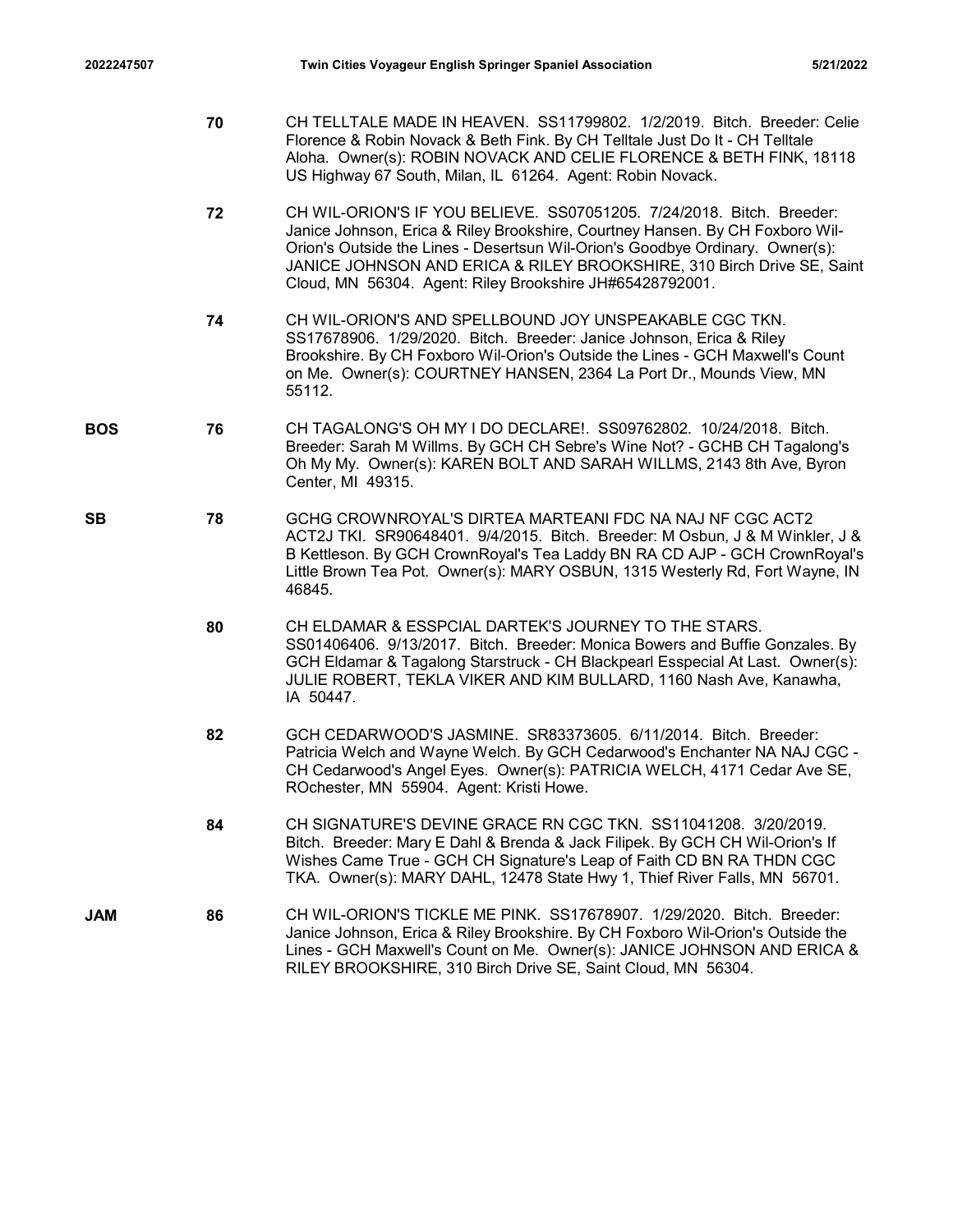- Twin Cities Voyageur English Springer Spaniel Association [5/21/2022]<br>2022247507 Twin Cities Voyageur English Springer Spaniel Association<br>70 CH TELLTALE MADE IN HEAVEN. SS11799802. 1/2/2019. Bitch. Breeder: Celie<br>5- Flore 70 CH TELLTALE MADE IN HEAVEN. SS11799802. 1/2/2019. Bitch. Breeder: Celie Florence & Robin Novack & Beth Fink. By CH Telltale Just Do It - CH Telltale Aloha. Owner(s): ROBIN NOVACK AND CELIE FLORENCE & BETH FINK, 18118 US Highway 67 South, Milan, IL 61264. Agent: Robin Novack.
	- 72 CH WIL-ORION'S IF YOU BELIEVE. SS07051205. 7/24/2018. Bitch. Breeder: Janice Johnson, Erica & Riley Brookshire, Courtney Hansen. By CH Foxboro Wil-Orion's Outside the Lines - Desertsun Wil-Orion's Goodbye Ordinary. Owner(s): JANICE JOHNSON AND ERICA & RILEY BROOKSHIRE, 310 Birch Drive SE, Saint Cloud, MN 56304. Agent: Riley Brookshire JH#65428792001.
	- 74 CH WIL-ORION'S AND SPELLBOUND JOY UNSPEAKABLE CGC TKN. SS17678906. 1/29/2020. Bitch. Breeder: Janice Johnson, Erica & Riley Brookshire. By CH Foxboro Wil-Orion's Outside the Lines - GCH Maxwell's Count on Me. Owner(s): COURTNEY HANSEN, 2364 La Port Dr., Mounds View, MN 55112.
- 76 CH TAGALONG'S OH MY I DO DECLARE!. SS09762802. 10/24/2018. Bitch. BOS Breeder: Sarah M Willms. By GCH CH Sebre's Wine Not? - GCHB CH Tagalong's Oh My My. Owner(s): KAREN BOLT AND SARAH WILLMS, 2143 8th Ave, Byron Center, MI 49315.
- 78 GCHG CROWNROYAL'S DIRTEA MARTEANI FDC NA NAJ NF CGC ACT2 SB ACT2J TKI. SR90648401. 9/4/2015. Bitch. Breeder: M Osbun, J & M Winkler, J & B Kettleson. By GCH CrownRoyal's Tea Laddy BN RA CD AJP - GCH CrownRoyal's Little Brown Tea Pot. Owner(s): MARY OSBUN, 1315 Westerly Rd, Fort Wayne, IN 46845.
	- 80 CH ELDAMAR & ESSPCIAL DARTEK'S JOURNEY TO THE STARS. SS01406406. 9/13/2017. Bitch. Breeder: Monica Bowers and Buffie Gonzales. By GCH Eldamar & Tagalong Starstruck - CH Blackpearl Esspecial At Last. Owner(s): JULIE ROBERT, TEKLA VIKER AND KIM BULLARD, 1160 Nash Ave, Kanawha, IA 50447.
	- 82 GCH CEDARWOOD'S JASMINE. SR83373605. 6/11/2014. Bitch. Breeder: Patricia Welch and Wayne Welch. By GCH Cedarwood's Enchanter NA NAJ CGC - CH Cedarwood's Angel Eyes. Owner(s): PATRICIA WELCH, 4171 Cedar Ave SE, ROchester, MN 55904. Agent: Kristi Howe.
	- 84 CH SIGNATURE'S DEVINE GRACE RN CGC TKN. SS11041208. 3/20/2019. Bitch. Breeder: Mary E Dahl & Brenda & Jack Filipek. By GCH CH Wil-Orion's If Wishes Came True - GCH CH Signature's Leap of Faith CD BN RA THDN CGC TKA. Owner(s): MARY DAHL, 12478 State Hwy 1, Thief River Falls, MN 56701.
- 86 CH WIL-ORION'S TICKLE ME PINK. SS17678907. 1/29/2020. Bitch. Breeder: Janice Johnson, Erica & Riley Brookshire. By CH Foxboro Wil-Orion's Outside the Lines - GCH Maxwell's Count on Me. Owner(s): JANICE JOHNSON AND ERICA & RILEY BROOKSHIRE, 310 Birch Drive SE, Saint Cloud, MN 56304. JAM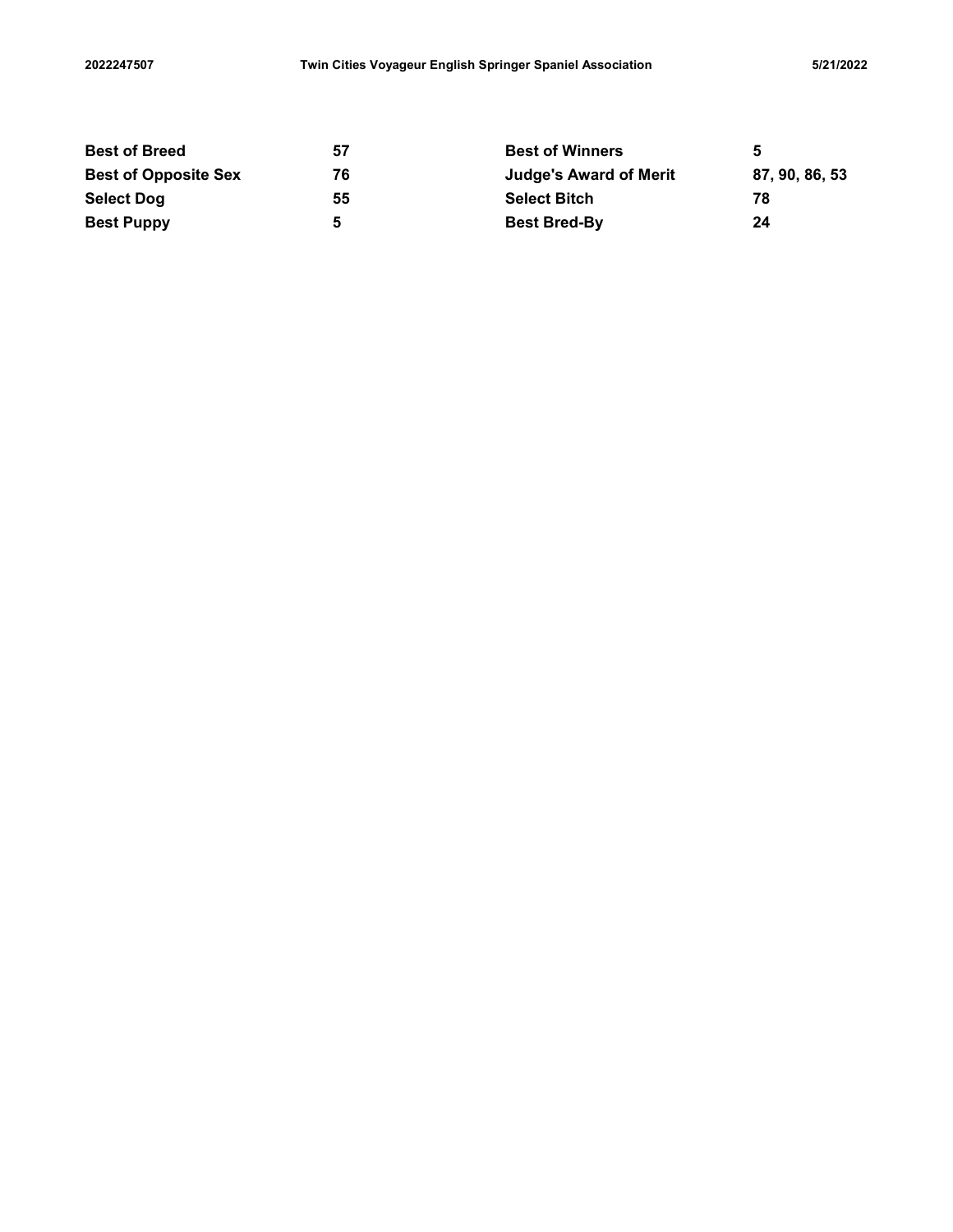| Twin Cities Voyageur English Springer Spaniel Association<br>2022247507<br>5/21/2022<br><b>Best of Breed</b><br><b>Best of Winners</b><br>$5\phantom{1}$<br>57<br><b>Best of Opposite Sex</b><br>87, 90, 86, 53<br>76<br><b>Judge's Award of Merit</b><br><b>Select Dog</b><br><b>Select Bitch</b><br>55<br>78<br><b>Best Puppy</b><br>$5\phantom{a}$<br><b>Best Bred-By</b><br>24 |  |  |
|------------------------------------------------------------------------------------------------------------------------------------------------------------------------------------------------------------------------------------------------------------------------------------------------------------------------------------------------------------------------------------|--|--|
|                                                                                                                                                                                                                                                                                                                                                                                    |  |  |
|                                                                                                                                                                                                                                                                                                                                                                                    |  |  |
|                                                                                                                                                                                                                                                                                                                                                                                    |  |  |
|                                                                                                                                                                                                                                                                                                                                                                                    |  |  |
|                                                                                                                                                                                                                                                                                                                                                                                    |  |  |
|                                                                                                                                                                                                                                                                                                                                                                                    |  |  |
|                                                                                                                                                                                                                                                                                                                                                                                    |  |  |
|                                                                                                                                                                                                                                                                                                                                                                                    |  |  |
|                                                                                                                                                                                                                                                                                                                                                                                    |  |  |
|                                                                                                                                                                                                                                                                                                                                                                                    |  |  |
|                                                                                                                                                                                                                                                                                                                                                                                    |  |  |
|                                                                                                                                                                                                                                                                                                                                                                                    |  |  |
|                                                                                                                                                                                                                                                                                                                                                                                    |  |  |
|                                                                                                                                                                                                                                                                                                                                                                                    |  |  |
|                                                                                                                                                                                                                                                                                                                                                                                    |  |  |
|                                                                                                                                                                                                                                                                                                                                                                                    |  |  |
|                                                                                                                                                                                                                                                                                                                                                                                    |  |  |
|                                                                                                                                                                                                                                                                                                                                                                                    |  |  |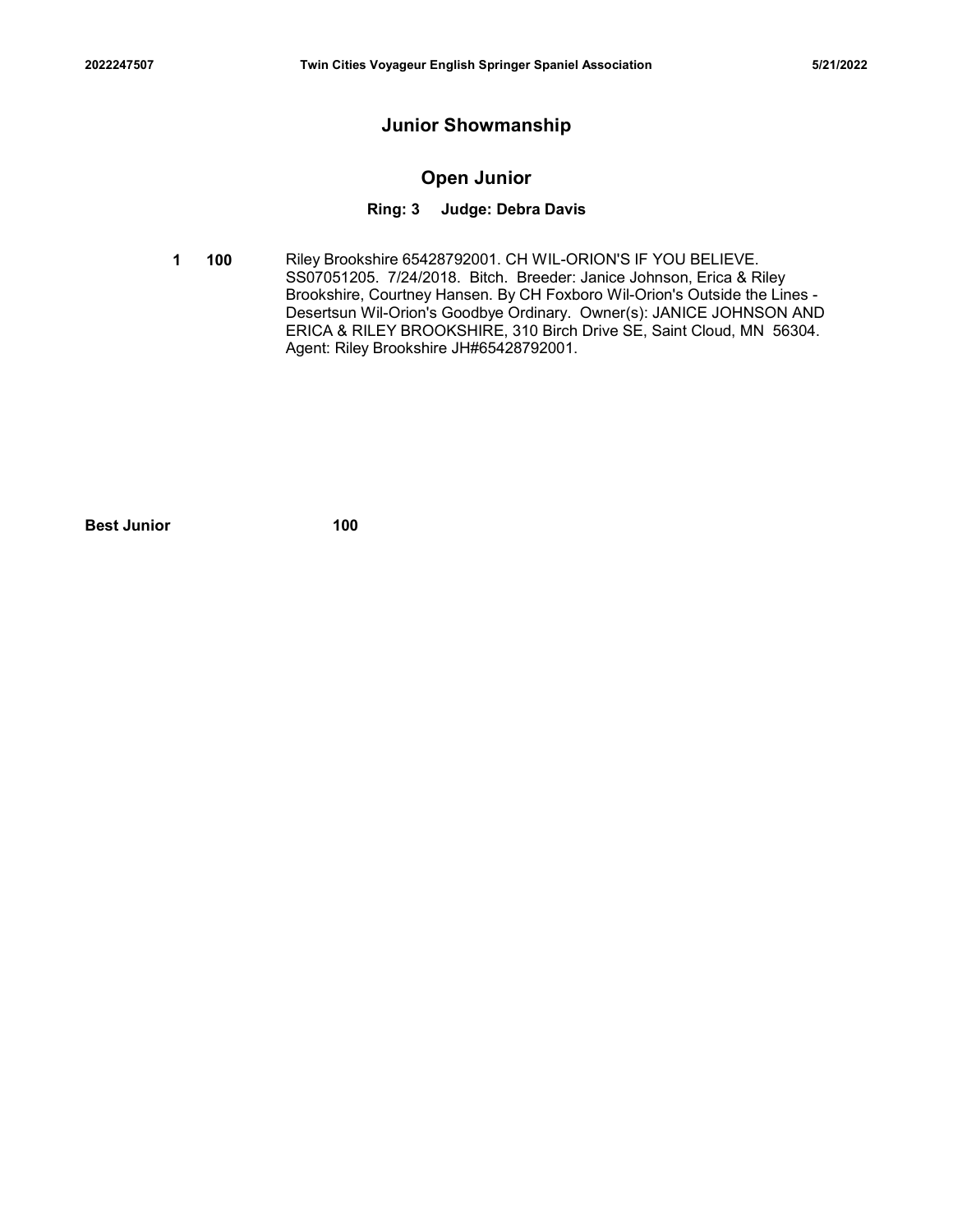# Junior Showmanship

# Open Junior

### Ring: 3 Judge: Debra Davis

**1 100** Riley Brookshire 65428792001. CH WIL-ORION'S IF YOU BELIEVE. SS07051205. 7/24/2018. Bitch. Breeder: Janice Johnson, Erica & Riley Brookshire, Courtney Hansen. By CH Foxboro Wil-Orion's Outside the Lines - Desertsun Wil-Orion's Goodbye Ordinary. Owner(s): JANICE JOHNSON AND ERICA & RILEY BROOKSHIRE, 310 Birch Drive SE, Saint Cloud, MN 56304. Agent: Riley Brookshire JH#65428792001. Junior Showmanship<br>
Open Junior<br>
Ring: 3 Judge: Debra Davis<br>
100 Riley Brookshire 65428792001. CH WILL-ORION'S IF YOU BELIEVE.<br>
SS07051205. 7/24/2018. Bitch. Breeder: Janice Johnson, Erica & Riley<br>
Brookshire, Couthney Ha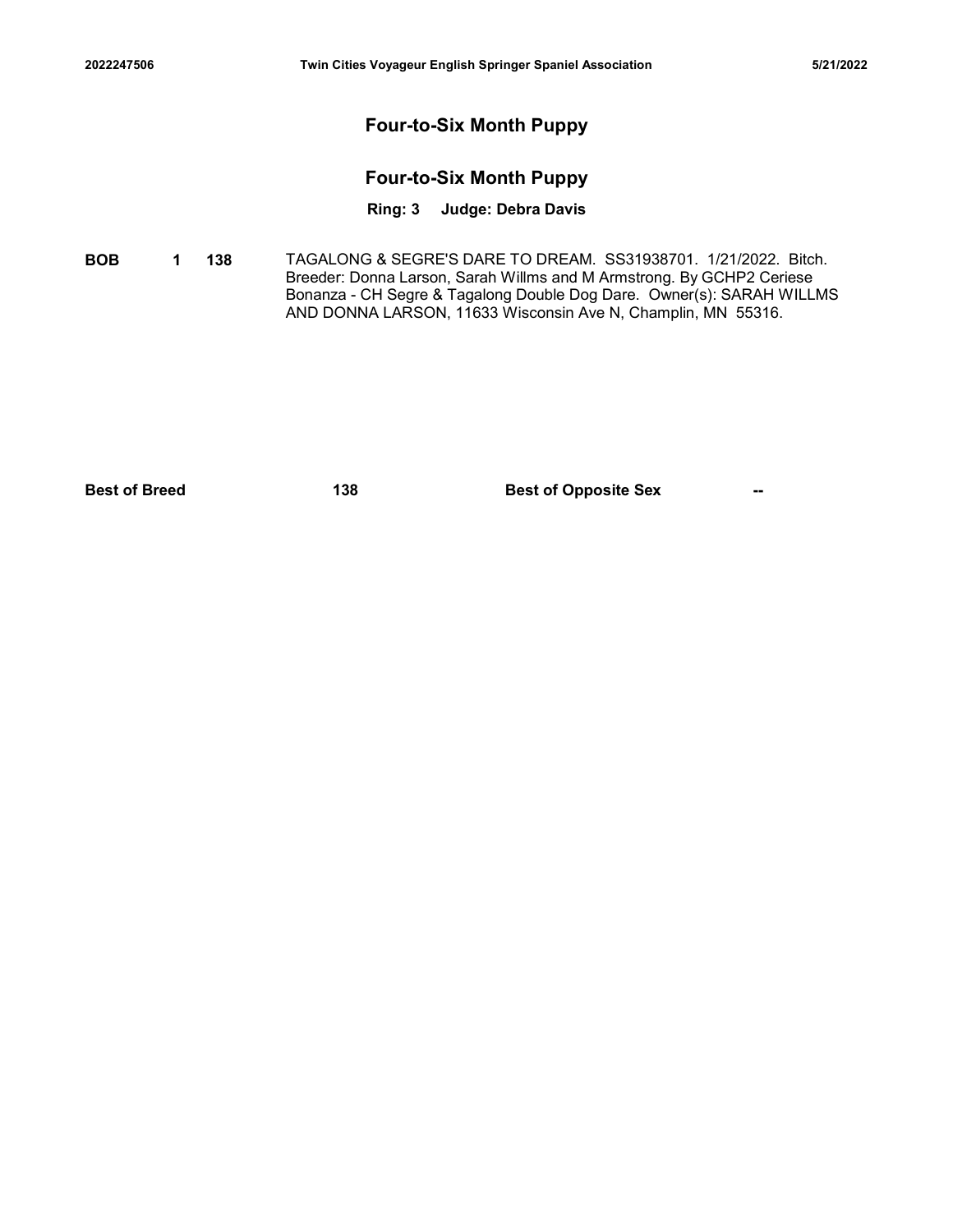# Four-to-Six Month Puppy

# Four-to-Six Month Puppy

# Ring: 3 Judge: Debra Davis

**BOB 1 138** TAGALONG & SEGRE'S DARE TO DREAM. SS31938701. 1/21/2022. Bitch. Breeder: Donna Larson, Sarah Willms and M Armstrong. By GCHP2 Ceriese Bonanza - CH Segre & Tagalong Double Dog Dare. Owner(s): SARAH WILLMS AND DONNA LARSON, 11633 Wisconsin Ave N, Champlin, MN 55316. Four-to-Six Month Puppy<br>
Four-to-Six Month Puppy<br>
Ring: 3 Judge: Debra Davis<br>
Bona 148 TAGALONG & SEGRE'S DARE TO DREAM. S531938701. 1/21/2022. Bitch.<br>
Breeder: Donn Larson, Sarah Willins and Mormstron, By GCHP2 Ceriese<br>
B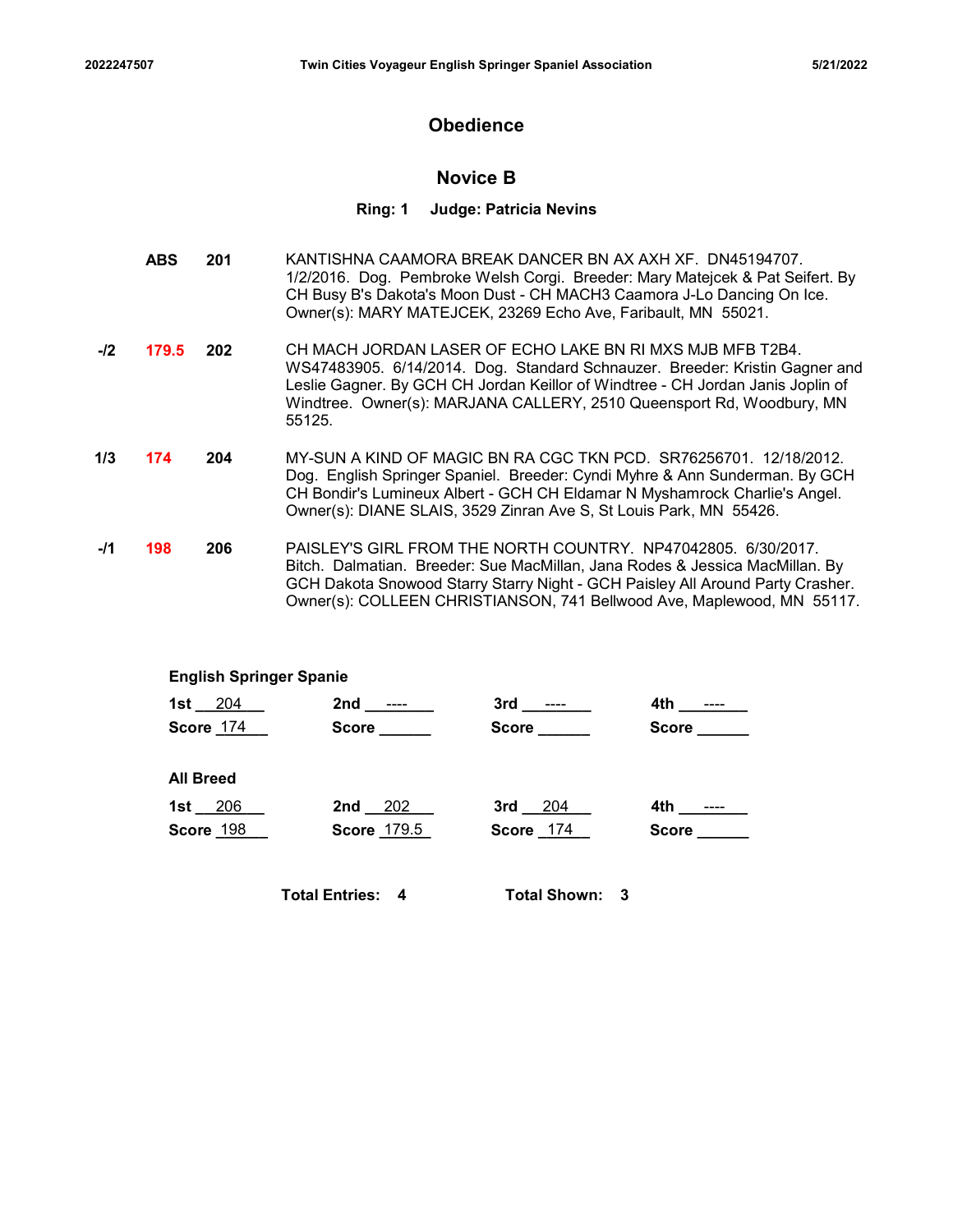# **Obedience**

# Novice B

### Ring: 1 Judge: Patricia Nevins

- 201 KANTISHNA CAAMORA BREAK DANCER BN AX AXH XF. DN45194707. ABS 1/2/2016. Dog. Pembroke Welsh Corgi. Breeder: Mary Matejcek & Pat Seifert. By CH Busy B's Dakota's Moon Dust - CH MACH3 Caamora J-Lo Dancing On Ice. Owner(s): MARY MATEJCEK, 23269 Echo Ave, Faribault, MN 55021.
- -/2 **179.5** 202 CH MACH JORDAN LASER OF ECHO LAKE BN RI MXS MJB MFB T2B4. WS47483905. 6/14/2014. Dog. Standard Schnauzer. Breeder: Kristin Gagner and Leslie Gagner. By GCH CH Jordan Keillor of Windtree - CH Jordan Janis Joplin of Windtree. Owner(s): MARJANA CALLERY, 2510 Queensport Rd, Woodbury, MN 55125.
- **1/3 174 204** MY-SUN A KIND OF MAGIC BN RA CGC TKN PCD. SR76256701. 12/18/2012. Dog. English Springer Spaniel. Breeder: Cyndi Myhre & Ann Sunderman. By GCH CH Bondir's Lumineux Albert - GCH CH Eldamar N Myshamrock Charlie's Angel. Owner(s): DIANE SLAIS, 3529 Zinran Ave S, St Louis Park, MN 55426.
- -**/1 198 206** PAISLEY'S GIRL FROM THE NORTH COUNTRY. NP47042805. 6/30/2017. Bitch. Dalmatian. Breeder: Sue MacMillan, Jana Rodes & Jessica MacMillan. By GCH Dakota Snowood Starry Starry Night - GCH Paisley All Around Party Crasher. Owner(s): COLLEEN CHRISTIANSON, 741 Bellwood Ave, Maplewood, MN 55117.

### English Springer Spanie

| CH MACH JORDAN LASER OF ECHO LAKE BN RI MXS MJB MFB T2B4.<br>$.5^{\circ}$<br>202<br>WS47483905. 6/14/2014. Dog. Standard Schnauzer. Breeder: Kristin Gagner and<br>Leslie Gagner. By GCH CH Jordan Keillor of Windtree - CH Jordan Janis Joplin of<br>Windtree. Owner(s): MARJANA CALLERY, 2510 Queensport Rd, Woodbury, MN<br>55125.<br>MY-SUN A KIND OF MAGIC BN RA CGC TKN PCD. SR76256701. 12/18/2012.<br>204<br>Dog. English Springer Spaniel. Breeder: Cyndi Myhre & Ann Sunderman. By GCH<br>CH Bondir's Lumineux Albert - GCH CH Eldamar N Myshamrock Charlie's Angel.<br>Owner(s): DIANE SLAIS, 3529 Zinran Ave S, St Louis Park, MN 55426.<br>PAISLEY'S GIRL FROM THE NORTH COUNTRY. NP47042805. 6/30/2017.<br>206<br>Bitch. Dalmatian. Breeder: Sue MacMillan, Jana Rodes & Jessica MacMillan. By<br>GCH Dakota Snowood Starry Starry Night - GCH Paisley All Around Party Crasher.<br>Owner(s): COLLEEN CHRISTIANSON, 741 Bellwood Ave, Maplewood, MN 55117.<br><b>English Springer Spanie</b><br>1st $_204$<br>3rd _______<br>$4th$ ________<br>Score <b>Score</b><br>$Score$ <sub>_____</sub><br>Score ______<br>Score 174<br><b>All Breed</b><br>1st $206$<br>$2nd - 202$<br>$3rd - 204$<br>4th ________<br>Score 174<br>Score 198<br>Score 179.5<br>Score ______<br><b>Total Entries: 4</b><br><b>Total Shown: 3</b> |  | Owner(s): MARY MATEJCEK, 23269 Echo Ave, Faribault, MN 55021. |  | UT Dusy D's Danuta's MOUT Dust - UT MAU 10 Gaarliula 0-L0 Dariulity Office. |  |  |  |
|--------------------------------------------------------------------------------------------------------------------------------------------------------------------------------------------------------------------------------------------------------------------------------------------------------------------------------------------------------------------------------------------------------------------------------------------------------------------------------------------------------------------------------------------------------------------------------------------------------------------------------------------------------------------------------------------------------------------------------------------------------------------------------------------------------------------------------------------------------------------------------------------------------------------------------------------------------------------------------------------------------------------------------------------------------------------------------------------------------------------------------------------------------------------------------------------------------------------------------------------------------------------------------------------------------------------------------------|--|---------------------------------------------------------------|--|-----------------------------------------------------------------------------|--|--|--|
|                                                                                                                                                                                                                                                                                                                                                                                                                                                                                                                                                                                                                                                                                                                                                                                                                                                                                                                                                                                                                                                                                                                                                                                                                                                                                                                                      |  |                                                               |  |                                                                             |  |  |  |
|                                                                                                                                                                                                                                                                                                                                                                                                                                                                                                                                                                                                                                                                                                                                                                                                                                                                                                                                                                                                                                                                                                                                                                                                                                                                                                                                      |  |                                                               |  |                                                                             |  |  |  |
|                                                                                                                                                                                                                                                                                                                                                                                                                                                                                                                                                                                                                                                                                                                                                                                                                                                                                                                                                                                                                                                                                                                                                                                                                                                                                                                                      |  |                                                               |  |                                                                             |  |  |  |
|                                                                                                                                                                                                                                                                                                                                                                                                                                                                                                                                                                                                                                                                                                                                                                                                                                                                                                                                                                                                                                                                                                                                                                                                                                                                                                                                      |  |                                                               |  |                                                                             |  |  |  |
|                                                                                                                                                                                                                                                                                                                                                                                                                                                                                                                                                                                                                                                                                                                                                                                                                                                                                                                                                                                                                                                                                                                                                                                                                                                                                                                                      |  |                                                               |  |                                                                             |  |  |  |
|                                                                                                                                                                                                                                                                                                                                                                                                                                                                                                                                                                                                                                                                                                                                                                                                                                                                                                                                                                                                                                                                                                                                                                                                                                                                                                                                      |  |                                                               |  |                                                                             |  |  |  |
|                                                                                                                                                                                                                                                                                                                                                                                                                                                                                                                                                                                                                                                                                                                                                                                                                                                                                                                                                                                                                                                                                                                                                                                                                                                                                                                                      |  |                                                               |  |                                                                             |  |  |  |
|                                                                                                                                                                                                                                                                                                                                                                                                                                                                                                                                                                                                                                                                                                                                                                                                                                                                                                                                                                                                                                                                                                                                                                                                                                                                                                                                      |  |                                                               |  |                                                                             |  |  |  |
|                                                                                                                                                                                                                                                                                                                                                                                                                                                                                                                                                                                                                                                                                                                                                                                                                                                                                                                                                                                                                                                                                                                                                                                                                                                                                                                                      |  |                                                               |  |                                                                             |  |  |  |
|                                                                                                                                                                                                                                                                                                                                                                                                                                                                                                                                                                                                                                                                                                                                                                                                                                                                                                                                                                                                                                                                                                                                                                                                                                                                                                                                      |  |                                                               |  |                                                                             |  |  |  |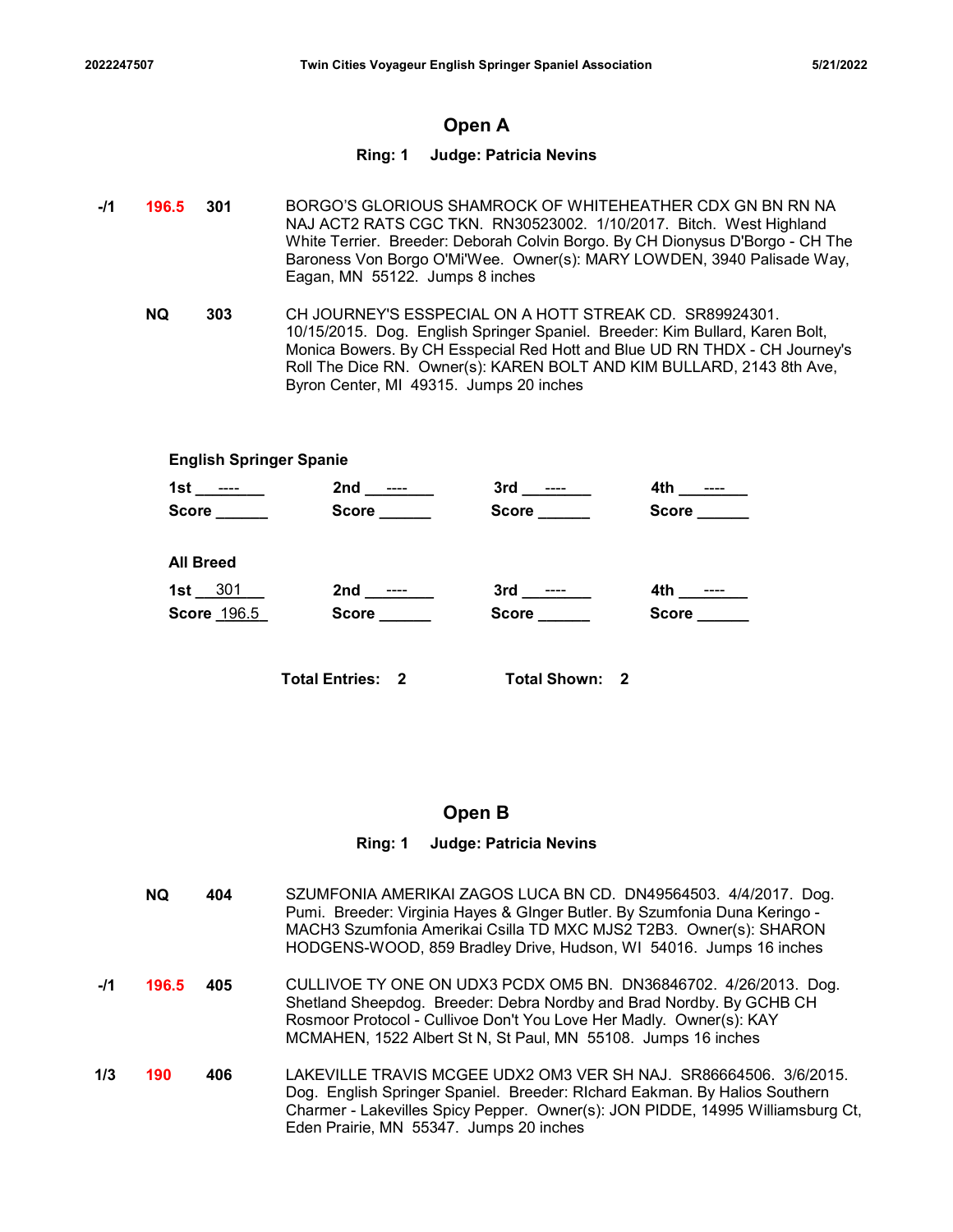# Open A

# Ring: 1 Judge: Patricia Nevins

- -/1 **196.5 301** BORGO'S GLORIOUS SHAMROCK OF WHITEHEATHER CDX GN BN RN NA NAJ ACT2 RATS CGC TKN. RN30523002. 1/10/2017. Bitch. West Highland White Terrier. Breeder: Deborah Colvin Borgo. By CH Dionysus D'Borgo - CH The Baroness Von Borgo O'Mi'Wee. Owner(s): MARY LOWDEN, 3940 Palisade Way, Eagan, MN 55122. Jumps 8 inches
	- 303 CH JOURNEY'S ESSPECIAL ON A HOTT STREAK CD. SR89924301. NQ 10/15/2015. Dog. English Springer Spaniel. Breeder: Kim Bullard, Karen Bolt, Monica Bowers. By CH Esspecial Red Hott and Blue UD RN THDX - CH Journey's Roll The Dice RN. Owner(s): KAREN BOLT AND KIM BULLARD, 2143 8th Ave, Byron Center, MI 49315. Jumps 20 inches

|                                |                                         | Open A                         |                                                                                                                                                                                                                                                                                                |  |
|--------------------------------|-----------------------------------------|--------------------------------|------------------------------------------------------------------------------------------------------------------------------------------------------------------------------------------------------------------------------------------------------------------------------------------------|--|
|                                |                                         | Ring: 1 Judge: Patricia Nevins |                                                                                                                                                                                                                                                                                                |  |
| 6.5<br>301                     | Eagan, MN 55122. Jumps 8 inches         |                                | BORGO'S GLORIOUS SHAMROCK OF WHITEHEATHER CDX GN BN RN NA<br>NAJ ACT2 RATS CGC TKN. RN30523002. 1/10/2017. Bitch. West Highland<br>White Terrier. Breeder: Deborah Colvin Borgo. By CH Dionysus D'Borgo - CH The<br>Baroness Von Borgo O'Mi'Wee. Owner(s): MARY LOWDEN, 3940 Palisade Way,     |  |
| 303                            | Byron Center, MI 49315. Jumps 20 inches |                                | CH JOURNEY'S ESSPECIAL ON A HOTT STREAK CD. SR89924301.<br>10/15/2015. Dog. English Springer Spaniel. Breeder: Kim Bullard, Karen Bolt,<br>Monica Bowers. By CH Esspecial Red Hott and Blue UD RN THDX - CH Journey's<br>Roll The Dice RN. Owner(s): KAREN BOLT AND KIM BULLARD, 2143 8th Ave, |  |
| <b>English Springer Spanie</b> |                                         |                                |                                                                                                                                                                                                                                                                                                |  |
| 1st ______ __                  | 2nd _______                             | 3rd _______                    |                                                                                                                                                                                                                                                                                                |  |
| $Score$ <sub>_______</sub>     | Score <u>________</u>                   | Score ______                   | Score ______                                                                                                                                                                                                                                                                                   |  |
| <b>All Breed</b>               |                                         |                                |                                                                                                                                                                                                                                                                                                |  |
| 1st $301$                      |                                         | $3rd$ _________                |                                                                                                                                                                                                                                                                                                |  |
| Score 196.5                    | Score <u>Lander</u>                     | <b>Score Score</b>             | <b>Score Score</b>                                                                                                                                                                                                                                                                             |  |
|                                | <b>Total Entries: 2</b>                 | <b>Total Shown: 2</b>          |                                                                                                                                                                                                                                                                                                |  |

# Open B

### Ring: 1 Judge: Patricia Nevins

|       | <b>NQ</b> | 404 | SZUMFONIA AMERIKAI ZAGOS LUCA BN CD. DN49564503. 4/4/2017. Dog.<br>Pumi. Breeder: Virginia Hayes & GInger Butler. By Szumfonia Duna Keringo -<br>MACH3 Szumfonia Amerikai Csilla TD MXC MJS2 T2B3. Owner(s): SHARON<br>HODGENS-WOOD, 859 Bradley Drive, Hudson, WI 54016. Jumps 16 inches |
|-------|-----------|-----|-------------------------------------------------------------------------------------------------------------------------------------------------------------------------------------------------------------------------------------------------------------------------------------------|
| $-I1$ | 196.5     | 405 | CULLIVOE TY ONE ON UDX3 PCDX OM5 BN. DN36846702. 4/26/2013. Dog.<br>Shetland Sheepdog. Breeder: Debra Nordby and Brad Nordby. By GCHB CH<br>Rosmoor Protocol - Cullivoe Don't You Love Her Madly. Owner(s): KAY<br>MCMAHEN, 1522 Albert St N, St Paul, MN 55108. Jumps 16 inches          |
| 1/3   | 190       | 406 | LAKEVILLE TRAVIS MCGEE UDX2 OM3 VER SH NAJ.  SR86664506.  3/6/2015.<br>Dog. English Springer Spaniel. Breeder: RIchard Eakman. By Halios Southern<br>Charmer - Lakevilles Spicy Pepper. Owner(s): JON PIDDE, 14995 Williamsburg Ct,<br>Eden Prairie, MN 55347. Jumps 20 inches            |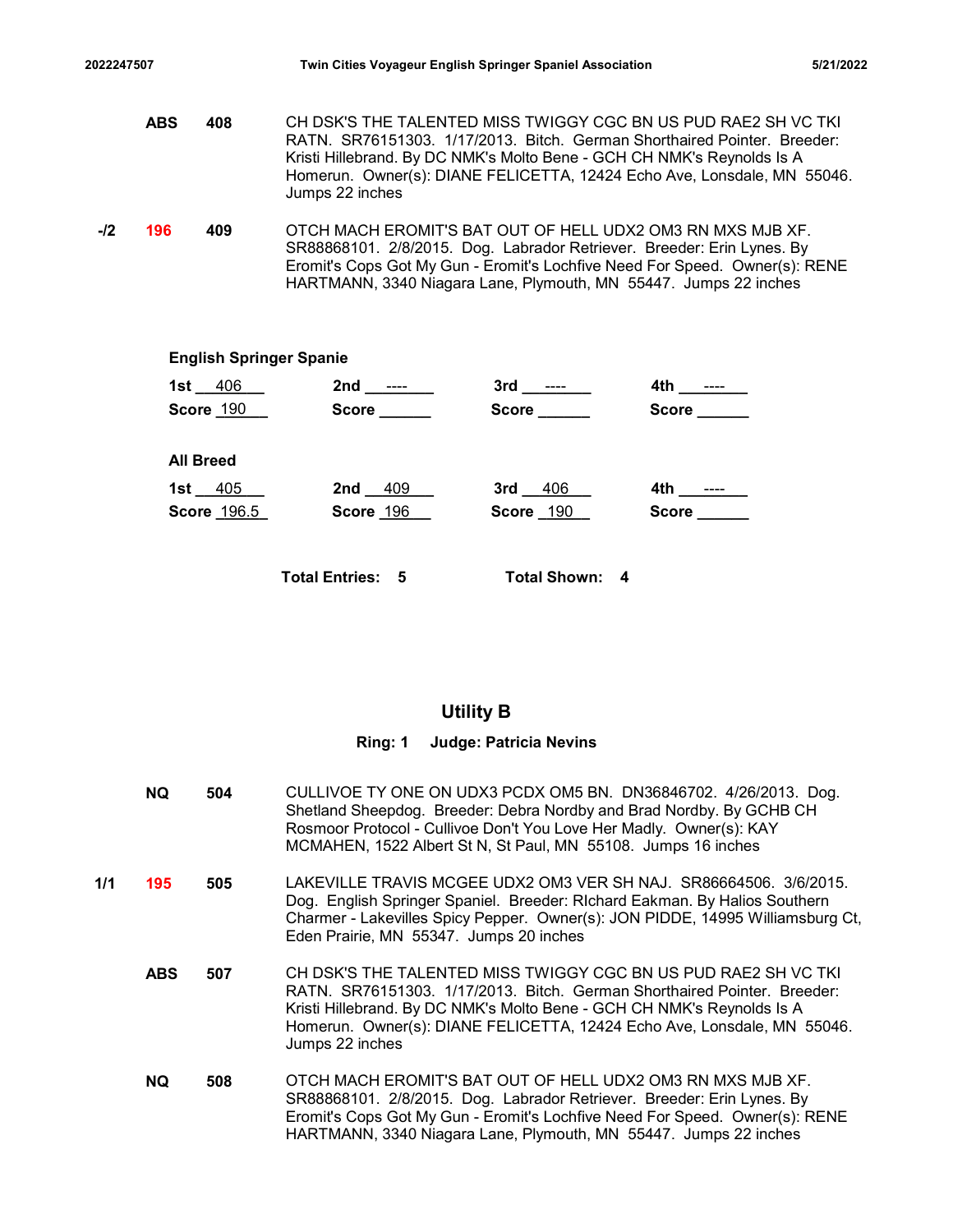2022247507 Twin Cities Voyageur English Springer Spaniel Association 5/21/2022<br>ABS 408 CH DSK'S THE TALENTED MISS TWIGGY CGC BN US PUD RAE2 SH VC TKI<br>RATN. SR76151303. 1/17/2013. Bitch. German Shorthaired Pointer. Breeder: **ABS 408** CH DSK'S THE TALENTED MISS TWIGGY CGC BN US PUD RAE2 SH VC TKI RATN. SR76151303. 1/17/2013. Bitch. German Shorthaired Pointer. Breeder: Kristi Hillebrand. By DC NMK's Molto Bene - GCH CH NMK's Reynolds Is A Homerun. Owner(s): DIANE FELICETTA, 12424 Echo Ave, Lonsdale, MN 55046. Jumps 22 inches -/2 **196 409** OTCH MACH EROMIT'S BAT OUT OF HELL UDX2 OM3 RN MXS MJB XF. SR88868101. 2/8/2015. Dog. Labrador Retriever. Breeder: Erin Lynes. By Eromit's Cops Got My Gun - Eromit's Lochfive Need For Speed. Owner(s): RENE Twin Cities Voyageur English Springer Spaniel Association<br>
406 CH DSK'S THE TALENTED MISS TWIGGY CGC BN US PUD RAE2 SH VC TKI<br>
RATN. SR76151303. 1/17/2013. Bitch. German Shorthaired Pointer. Breeder:<br>
Kristi Hillebrand. By CH DSK'S THE TALENTED MISS TWIGGY CGC BN US PUD RAE2 SH VC TKI<br>
RATN. SR76151303. 1/17/2013. Bltch. German Shorthaired Pointer. Breeder:<br>
Kristi Hillebrand. By DC NMK's Molto Bene - GCH CH NMK's Reynolds Is A<br>
Homerum: Own CH DSK'S THE TALENTED MISS TWIGGY CGC BN US PUD RAE2 SH VC TKI<br>
RATN. SRY8151303. 11/172013. Bltch. German Shorthaird Pointer. Breeder.<br>
Iristi Hillebrand. By DC NMK's Molto Bene - GCH CH NMK's Reynolds Is A<br>
Homerun. Owne

HARTMANN, 3340 Niagara Lane, Plymouth, MN 55447. Jumps 22 inches

# 1st 406 2nd 2nd 2 2nd 3rd 2rd 4th 2012 Score <u>\_190 \_\_\_</u> Score \_\_\_\_\_\_\_ Score \_\_\_\_\_\_\_ Score \_\_\_\_\_\_\_ \_\_\_\_\_ English Springer Spanie  $1st \_405 \_$  2nd  $409 \_$  3rd  $406 \_$  4th  $\_$ Score 196.5 Score 196 Score 190 Score Score \_\_\_\_\_ All Breed

Total Entries: 5 Total Shown: 4

# Utility B

### Ring: 1 Judge: Patricia Nevins

504 CULLIVOE TY ONE ON UDX3 PCDX OM5 BN. DN36846702. 4/26/2013. Dog. NQ Shetland Sheepdog. Breeder: Debra Nordby and Brad Nordby. By GCHB CH Rosmoor Protocol - Cullivoe Don't You Love Her Madly. Owner(s): KAY MCMAHEN, 1522 Albert St N, St Paul, MN 55108. Jumps 16 inches **1/1 195 505** LAKEVILLE TRAVIS MCGEE UDX2 OM3 VER SH NAJ. SR86664506. 3/6/2015. Dog. English Springer Spaniel. Breeder: RIchard Eakman. By Halios Southern Charmer - Lakevilles Spicy Pepper. Owner(s): JON PIDDE, 14995 Williamsburg Ct, Eden Prairie, MN 55347. Jumps 20 inches **ABS 507** CH DSK'S THE TALENTED MISS TWIGGY CGC BN US PUD RAE2 SH VC TKI RATN. SR76151303. 1/17/2013. Bitch. German Shorthaired Pointer. Breeder: Kristi Hillebrand. By DC NMK's Molto Bene - GCH CH NMK's Reynolds Is A Homerun. Owner(s): DIANE FELICETTA, 12424 Echo Ave, Lonsdale, MN 55046. Jumps 22 inches 508 OTCH MACH EROMIT'S BAT OUT OF HELL UDX2 OM3 RN MXS MJB XF. SR88868101. 2/8/2015. Dog. Labrador Retriever. Breeder: Erin Lynes. By Eromit's Cops Got My Gun - Eromit's Lochfive Need For Speed. Owner(s): RENE HARTMANN, 3340 Niagara Lane, Plymouth, MN 55447. Jumps 22 inches NQ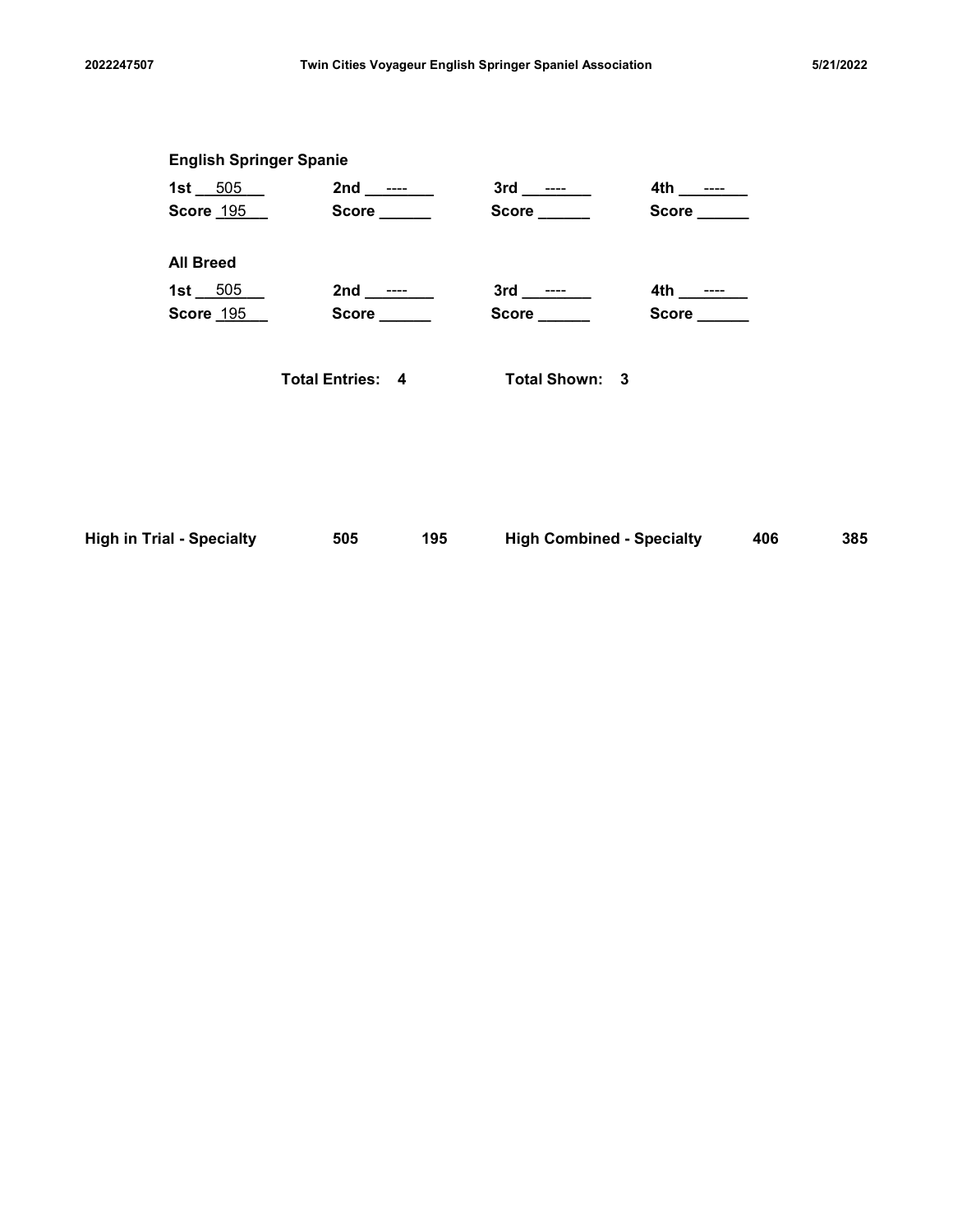| 2022247507<br>Twin Cities Voyageur English Springer Spaniel Association<br>5/21/2022<br><b>English Springer Spanie</b><br>1st 505 2nd ---- 3rd ---- 4th ----<br>Score 195 Score Score<br>Score ______<br>Score _____<br><b>All Breed</b><br>1st $-505$<br>$4th$ ________<br><b>Score 195</b><br>Score ______<br>Score ______<br>Score _____<br><b>Total Entries: 4</b><br>Total Shown: 3<br><b>High in Trial - Specialty</b><br><b>High Combined - Specialty</b><br>195<br>385<br>505<br>406 |  |  |  |  |
|----------------------------------------------------------------------------------------------------------------------------------------------------------------------------------------------------------------------------------------------------------------------------------------------------------------------------------------------------------------------------------------------------------------------------------------------------------------------------------------------|--|--|--|--|
|                                                                                                                                                                                                                                                                                                                                                                                                                                                                                              |  |  |  |  |
|                                                                                                                                                                                                                                                                                                                                                                                                                                                                                              |  |  |  |  |
|                                                                                                                                                                                                                                                                                                                                                                                                                                                                                              |  |  |  |  |
|                                                                                                                                                                                                                                                                                                                                                                                                                                                                                              |  |  |  |  |
|                                                                                                                                                                                                                                                                                                                                                                                                                                                                                              |  |  |  |  |
|                                                                                                                                                                                                                                                                                                                                                                                                                                                                                              |  |  |  |  |
|                                                                                                                                                                                                                                                                                                                                                                                                                                                                                              |  |  |  |  |
|                                                                                                                                                                                                                                                                                                                                                                                                                                                                                              |  |  |  |  |
|                                                                                                                                                                                                                                                                                                                                                                                                                                                                                              |  |  |  |  |
|                                                                                                                                                                                                                                                                                                                                                                                                                                                                                              |  |  |  |  |
|                                                                                                                                                                                                                                                                                                                                                                                                                                                                                              |  |  |  |  |
|                                                                                                                                                                                                                                                                                                                                                                                                                                                                                              |  |  |  |  |
|                                                                                                                                                                                                                                                                                                                                                                                                                                                                                              |  |  |  |  |
|                                                                                                                                                                                                                                                                                                                                                                                                                                                                                              |  |  |  |  |
|                                                                                                                                                                                                                                                                                                                                                                                                                                                                                              |  |  |  |  |

| <b>High in Trial - Specialty</b> | 505 | 195 | <b>High Combined - Specialty</b> | 406 | 385 |
|----------------------------------|-----|-----|----------------------------------|-----|-----|
|----------------------------------|-----|-----|----------------------------------|-----|-----|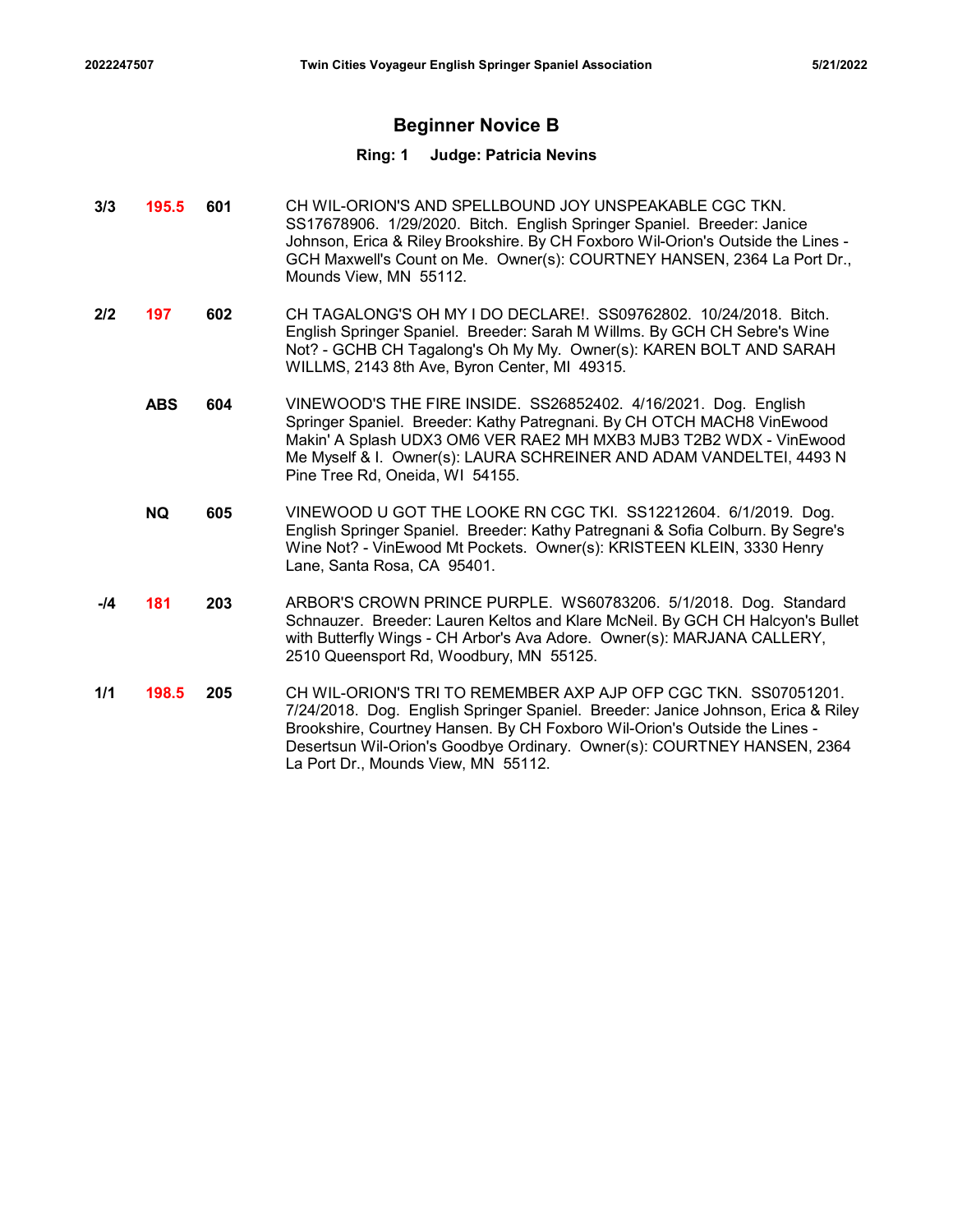# Beginner Novice B

### Ring: 1 Judge: Patricia Nevins

- 3/3 **195.5 601** CH WIL-ORION'S AND SPELLBOUND JOY UNSPEAKABLE CGC TKN. SS17678906. 1/29/2020. Bitch. English Springer Spaniel. Breeder: Janice Johnson, Erica & Riley Brookshire. By CH Foxboro Wil-Orion's Outside the Lines - GCH Maxwell's Count on Me. Owner(s): COURTNEY HANSEN, 2364 La Port Dr., Mounds View, MN 55112.
- 2/2 **197 602** CH TAGALONG'S OH MY I DO DECLARE!. SS09762802. 10/24/2018. Bitch. English Springer Spaniel. Breeder: Sarah M Willms. By GCH CH Sebre's Wine Not? - GCHB CH Tagalong's Oh My My. Owner(s): KAREN BOLT AND SARAH WILLMS, 2143 8th Ave, Byron Center, MI 49315.
	- **ABS 604** VINEWOOD'S THE FIRE INSIDE. SS26852402. 4/16/2021. Dog. English Springer Spaniel. Breeder: Kathy Patregnani. By CH OTCH MACH8 VinEwood Makin' A Splash UDX3 OM6 VER RAE2 MH MXB3 MJB3 T2B2 WDX - VinEwood Me Myself & I. Owner(s): LAURA SCHREINER AND ADAM VANDELTEI, 4493 N Pine Tree Rd, Oneida, WI 54155.
	- 605 VINEWOOD U GOT THE LOOKE RN CGC TKI. SS12212604. 6/1/2019. Dog. NQ English Springer Spaniel. Breeder: Kathy Patregnani & Sofia Colburn. By Segre's Wine Not? - VinEwood Mt Pockets. Owner(s): KRISTEEN KLEIN, 3330 Henry Lane, Santa Rosa, CA 95401.
- -**/4 181 203** ARBOR'S CROWN PRINCE PURPLE. WS60783206. 5/1/2018. Dog. Standard Schnauzer. Breeder: Lauren Keltos and Klare McNeil. By GCH CH Halcyon's Bullet with Butterfly Wings - CH Arbor's Ava Adore. Owner(s): MARJANA CALLERY, 2510 Queensport Rd, Woodbury, MN 55125.
- **1/1 198.5 205 CH** WIL-ORION'S TRI TO REMEMBER AXP AJP OFP CGC TKN. SS07051201. 7/24/2018. Dog. English Springer Spaniel. Breeder: Janice Johnson, Erica & Riley Brookshire, Courtney Hansen. By CH Foxboro Wil-Orion's Outside the Lines - Desertsun Wil-Orion's Goodbye Ordinary. Owner(s): COURTNEY HANSEN, 2364 La Port Dr., Mounds View, MN 55112.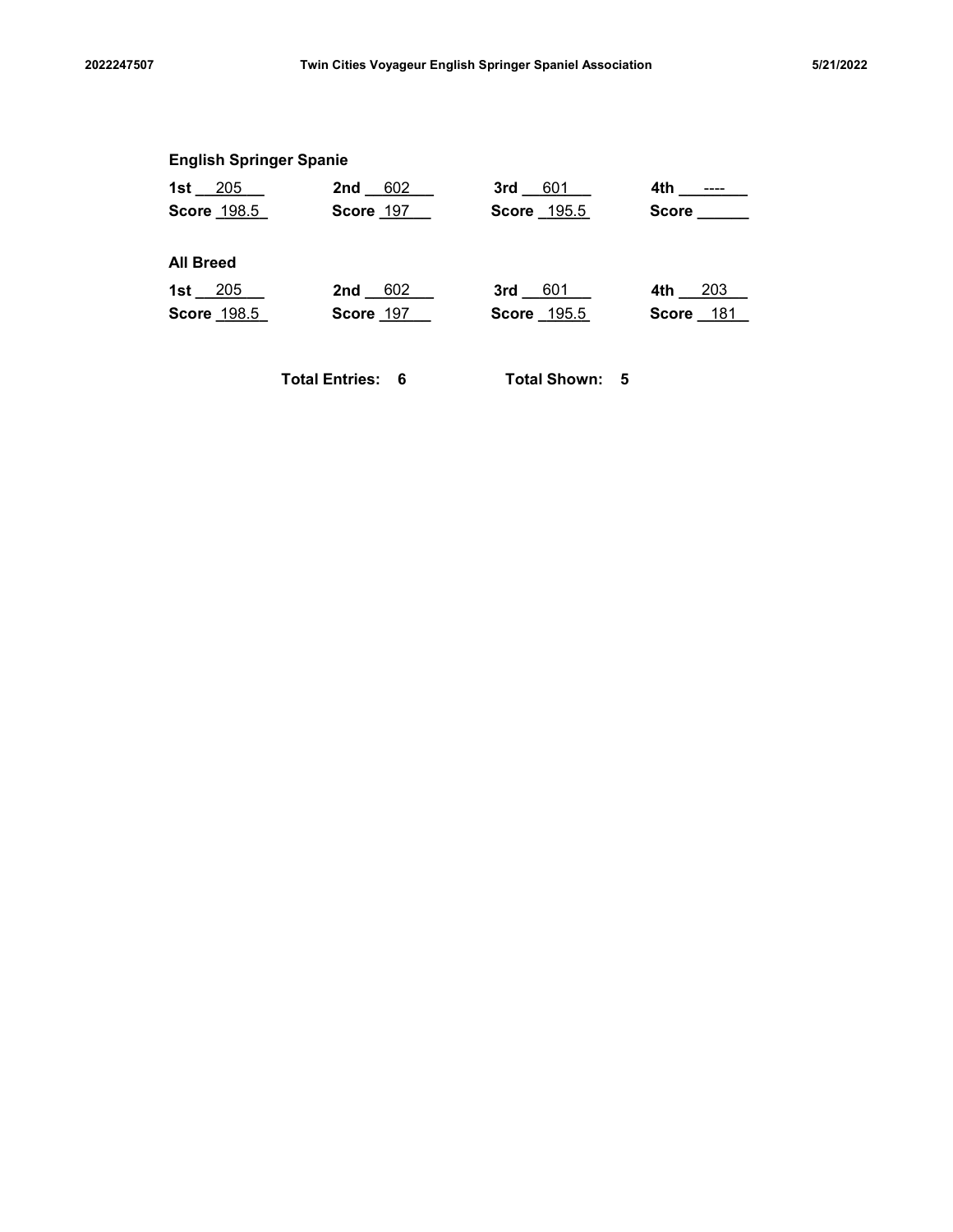|                                | Twin Cities Voyageur English Springer Spaniel Association |                |              | 5/21/2022 |
|--------------------------------|-----------------------------------------------------------|----------------|--------------|-----------|
|                                |                                                           |                |              |           |
| <b>English Springer Spanie</b> |                                                           |                |              |           |
| 1st $205$                      | 602<br>$2nd$ <sub><math>-</math></sub>                    | $3rd$ 601      |              |           |
| Score 198.5                    | Score 197                                                 | Score 195.5    | Score ______ |           |
| <b>All Breed</b>               |                                                           |                |              |           |
| 1st $_205$                     | 2nd $602$                                                 | $3rd$ 601      | 4th 203      |           |
| Score 198.5                    | Score 197                                                 | Score 195.5    | Score 181    |           |
|                                | <b>Total Entries: 6</b>                                   | Total Shown: 5 |              |           |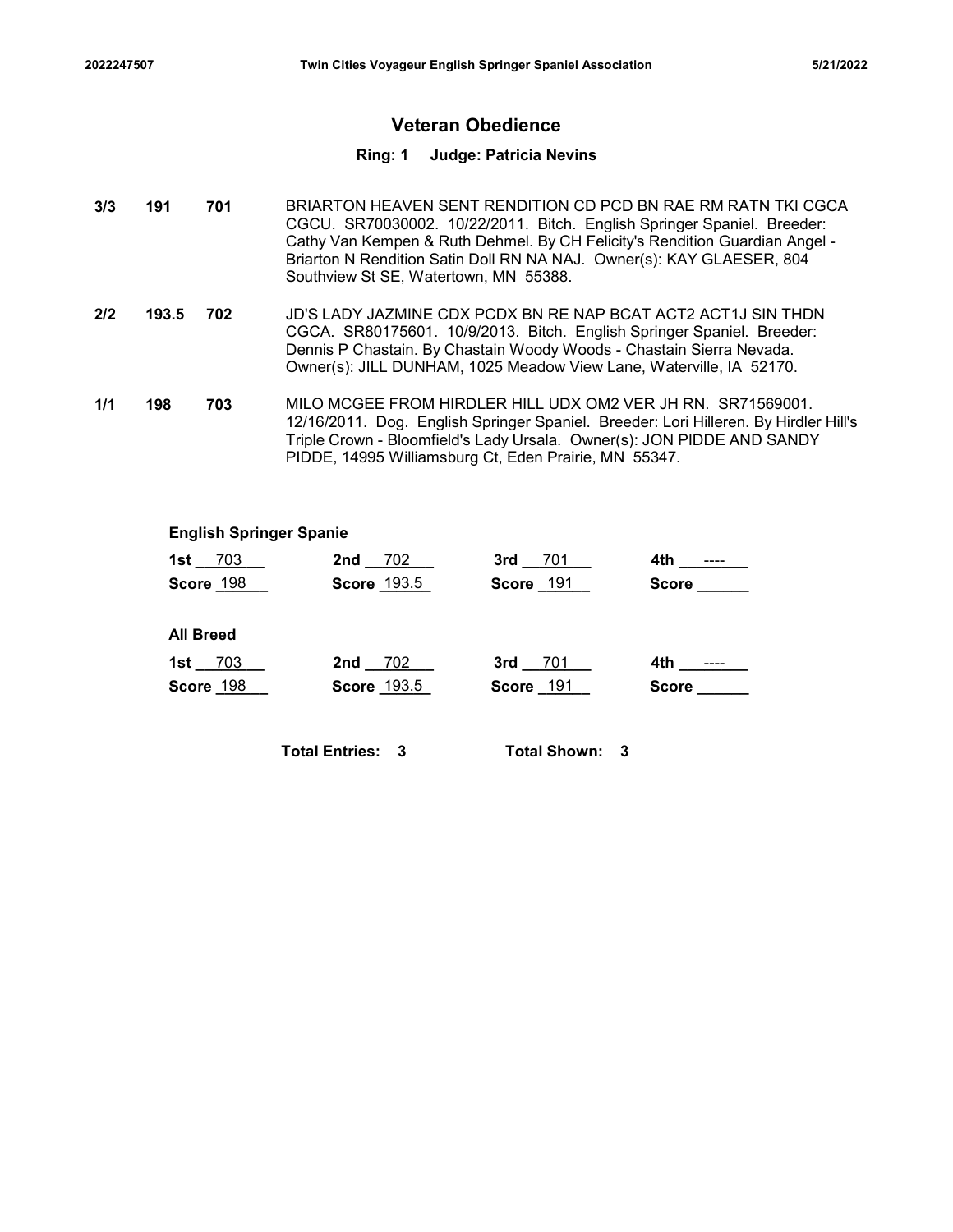# Veteran Obedience

### Ring: 1 Judge: Patricia Nevins

- 701 BRIARTON HEAVEN SENT RENDITION CD PCD BN RAE RM RATN TKI CGCA CGCU. SR70030002. 10/22/2011. Bitch. English Springer Spaniel. Breeder: Cathy Van Kempen & Ruth Dehmel. By CH Felicity's Rendition Guardian Angel - Briarton N Rendition Satin Doll RN NA NAJ. Owner(s): KAY GLAESER, 804 Southview St SE, Watertown, MN 55388. 1912247507<br>
1913<br>
1913 1914 1914 1914 1915 1916<br>
1974 1989 1916 1917 1914 1916<br>
1974 1989 1916 1917 1916 1917 1916<br>
1989 1916 1920/2011. Bitch. English Special Active Van Kempen & Ruth Dehmel. By CH Felicity's Firiarton N Twin Cities Voyageur English Springer Spaniel Association<br>
22247507<br>
191 Total Given Check Ping: 1<br>
201 BRIARTON HEAVEN SENT RENDITION CD PCD BN<br>
201 BRIARTON HEAVEN SENT RENDITION CD PCD BN<br>
201 BRIARTON HEAVEN SENT RENDI 1/1 198
- 702 JD'S LADY JAZMINE CDX PCDX BN RE NAP BCAT ACT2 ACT1J SIN THDN CGCA. SR80175601. 10/9/2013. Bitch. English Springer Spaniel. Breeder: Dennis P Chastain. By Chastain Woody Woods - Chastain Sierra Nevada. Owner(s): JILL DUNHAM, 1025 Meadow View Lane, Waterville, IA 52170.
- 703 MILO MCGEE FROM HIRDLER HILL UDX OM2 VER JH RN. SR71569001. 12/16/2011. Dog. English Springer Spaniel. Breeder: Lori Hilleren. By Hirdler Hill's Triple Crown - Bloomfield's Lady Ursala. Owner(s): JON PIDDE AND SANDY PIDDE, 14995 Williamsburg Ct, Eden Prairie, MN 55347.

### English Springer Spanie

|     |                        | King: 1                                                                                                                                                                                                               | Judge: Patricia Nevins |                                                                                                                                                                                                                         |  |
|-----|------------------------|-----------------------------------------------------------------------------------------------------------------------------------------------------------------------------------------------------------------------|------------------------|-------------------------------------------------------------------------------------------------------------------------------------------------------------------------------------------------------------------------|--|
|     | 701                    | Briarton N Rendition Satin Doll RN NA NAJ. Owner(s): KAY GLAESER, 804<br>Southview St SE, Watertown, MN 55388.                                                                                                        |                        | BRIARTON HEAVEN SENT RENDITION CD PCD BN RAE RM RATN TKI CGCA<br>CGCU. SR70030002. 10/22/2011. Bitch. English Springer Spaniel. Breeder:<br>Cathy Van Kempen & Ruth Dehmel. By CH Felicity's Rendition Guardian Angel - |  |
| 3.5 | 702                    | CGCA. SR80175601. 10/9/2013. Bitch. English Springer Spaniel. Breeder:<br>Dennis P Chastain. By Chastain Woody Woods - Chastain Sierra Nevada.<br>Owner(s): JILL DUNHAM, 1025 Meadow View Lane, Waterville, IA 52170. |                        | JD'S LADY JAZMINE CDX PCDX BN RE NAP BCAT ACT2 ACT1J SIN THDN                                                                                                                                                           |  |
|     | 703                    | MILO MCGEE FROM HIRDLER HILL UDX OM2 VER JH RN. SR71569001.<br>PIDDE, 14995 Williamsburg Ct, Eden Prairie, MN 55347.                                                                                                  |                        | 12/16/2011. Dog. English Springer Spaniel. Breeder: Lori Hilleren. By Hirdler Hill's<br>Triple Crown - Bloomfield's Lady Ursala. Owner(s): JON PIDDE AND SANDY                                                          |  |
|     |                        | <b>English Springer Spanie</b>                                                                                                                                                                                        |                        |                                                                                                                                                                                                                         |  |
|     | 1st $703$              | 2nd 702                                                                                                                                                                                                               | 3rd 701                | 4th ________                                                                                                                                                                                                            |  |
|     | Score 198              | Score 193.5                                                                                                                                                                                                           | <b>Score 191</b>       | Score ______                                                                                                                                                                                                            |  |
|     | <b>All Breed</b>       |                                                                                                                                                                                                                       |                        |                                                                                                                                                                                                                         |  |
|     | 1st $703$<br>Score 198 | 2nd 702<br>Score 193.5                                                                                                                                                                                                | 3rd 701<br>Score 191   | <b>Score Score</b>                                                                                                                                                                                                      |  |
|     |                        | <b>Total Entries: 3</b>                                                                                                                                                                                               | <b>Total Shown: 3</b>  |                                                                                                                                                                                                                         |  |
|     |                        |                                                                                                                                                                                                                       |                        |                                                                                                                                                                                                                         |  |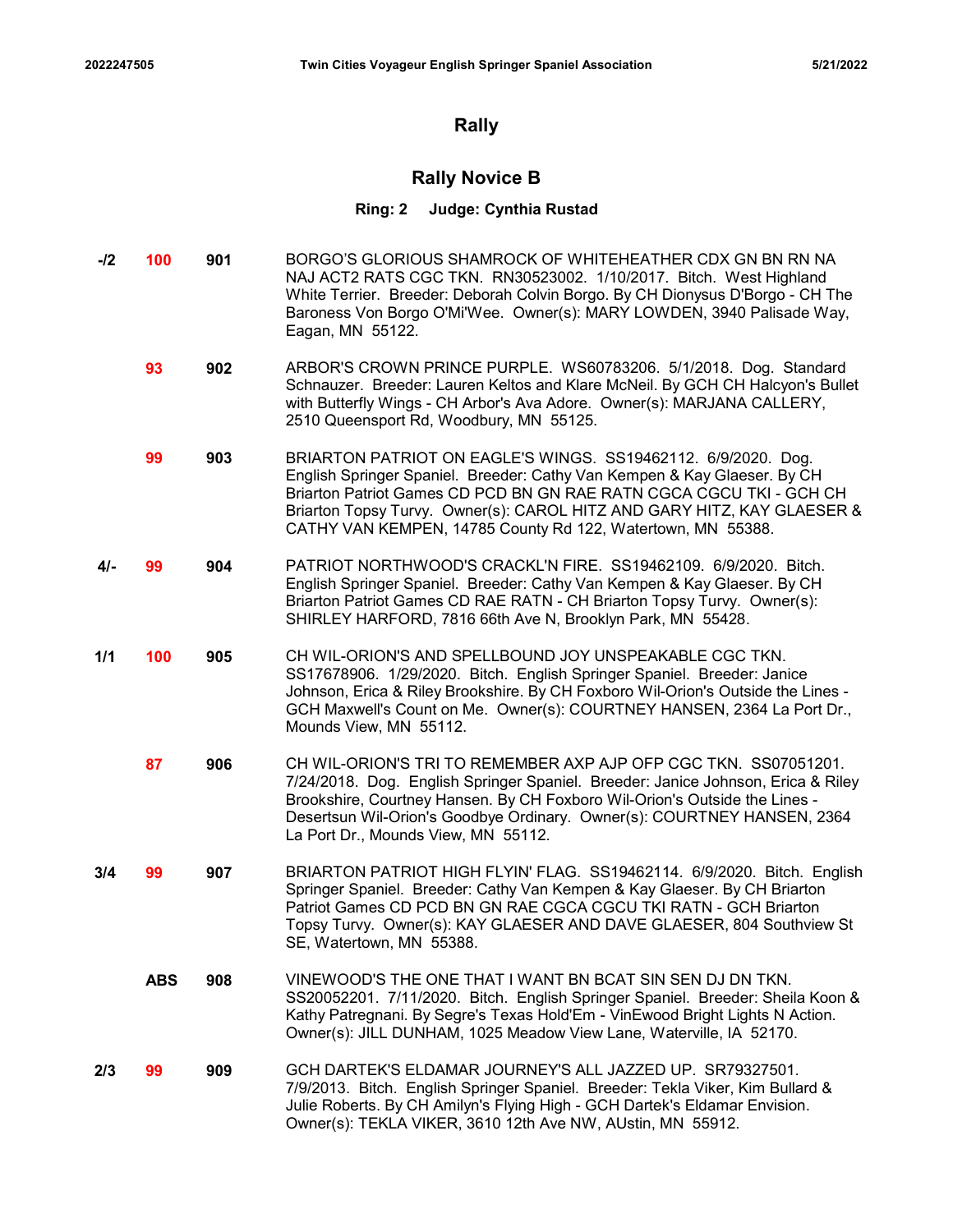# Rally

# Rally Novice B

### Ring: 2 Judge: Cynthia Rustad

- -/2 **100 901** BORGO'S GLORIOUS SHAMROCK OF WHITEHEATHER CDX GN BN RN NA NAJ ACT2 RATS CGC TKN. RN30523002. 1/10/2017. Bitch. West Highland White Terrier. Breeder: Deborah Colvin Borgo. By CH Dionysus D'Borgo - CH The Baroness Von Borgo O'Mi'Wee. Owner(s): MARY LOWDEN, 3940 Palisade Way, Eagan, MN 55122.
	- **93 902** ARBOR'S CROWN PRINCE PURPLE. WS60783206. 5/1/2018. Dog. Standard Schnauzer. Breeder: Lauren Keltos and Klare McNeil. By GCH CH Halcyon's Bullet with Butterfly Wings - CH Arbor's Ava Adore. Owner(s): MARJANA CALLERY, 2510 Queensport Rd, Woodbury, MN 55125.
	- **99 903** BRIARTON PATRIOT ON EAGLE'S WINGS. SS19462112. 6/9/2020. Dog. English Springer Spaniel. Breeder: Cathy Van Kempen & Kay Glaeser. By CH Briarton Patriot Games CD PCD BN GN RAE RATN CGCA CGCU TKI - GCH CH Briarton Topsy Turvy. Owner(s): CAROL HITZ AND GARY HITZ, KAY GLAESER & CATHY VAN KEMPEN, 14785 County Rd 122, Watertown, MN 55388.
- **4/- 99 904** PATRIOT NORTHWOOD'S CRACKL'N FIRE. SS19462109. 6/9/2020. Bitch. English Springer Spaniel. Breeder: Cathy Van Kempen & Kay Glaeser. By CH Briarton Patriot Games CD RAE RATN - CH Briarton Topsy Turvy. Owner(s): SHIRLEY HARFORD, 7816 66th Ave N, Brooklyn Park, MN 55428.
- 1/1 **100 905** CH WIL-ORION'S AND SPELLBOUND JOY UNSPEAKABLE CGC TKN. SS17678906. 1/29/2020. Bitch. English Springer Spaniel. Breeder: Janice Johnson, Erica & Riley Brookshire. By CH Foxboro Wil-Orion's Outside the Lines - GCH Maxwell's Count on Me. Owner(s): COURTNEY HANSEN, 2364 La Port Dr., Mounds View, MN 55112.
	- 87 906 CH WIL-ORION'S TRI TO REMEMBER AXP AJP OFP CGC TKN. SS07051201. 7/24/2018. Dog. English Springer Spaniel. Breeder: Janice Johnson, Erica & Riley Brookshire, Courtney Hansen. By CH Foxboro Wil-Orion's Outside the Lines - Desertsun Wil-Orion's Goodbye Ordinary. Owner(s): COURTNEY HANSEN, 2364 La Port Dr., Mounds View, MN 55112.
- 3/4 99 907 BRIARTON PATRIOT HIGH FLYIN' FLAG. SS19462114. 6/9/2020. Bitch. English Springer Spaniel. Breeder: Cathy Van Kempen & Kay Glaeser. By CH Briarton Patriot Games CD PCD BN GN RAE CGCA CGCU TKI RATN - GCH Briarton Topsy Turvy. Owner(s): KAY GLAESER AND DAVE GLAESER, 804 Southview St SE, Watertown, MN 55388.
	- 908 VINEWOOD'S THE ONE THAT I WANT BN BCAT SIN SEN DJ DN TKN. ABS SS20052201. 7/11/2020. Bitch. English Springer Spaniel. Breeder: Sheila Koon & Kathy Patregnani. By Segre's Texas Hold'Em - VinEwood Bright Lights N Action. Owner(s): JILL DUNHAM, 1025 Meadow View Lane, Waterville, IA 52170.
- 2/3 **99** 909 GCH DARTEK'S ELDAMAR JOURNEY'S ALL JAZZED UP. SR79327501. 7/9/2013. Bitch. English Springer Spaniel. Breeder: Tekla Viker, Kim Bullard & Julie Roberts. By CH Amilyn's Flying High - GCH Dartek's Eldamar Envision. Owner(s): TEKLA VIKER, 3610 12th Ave NW, AUstin, MN 55912.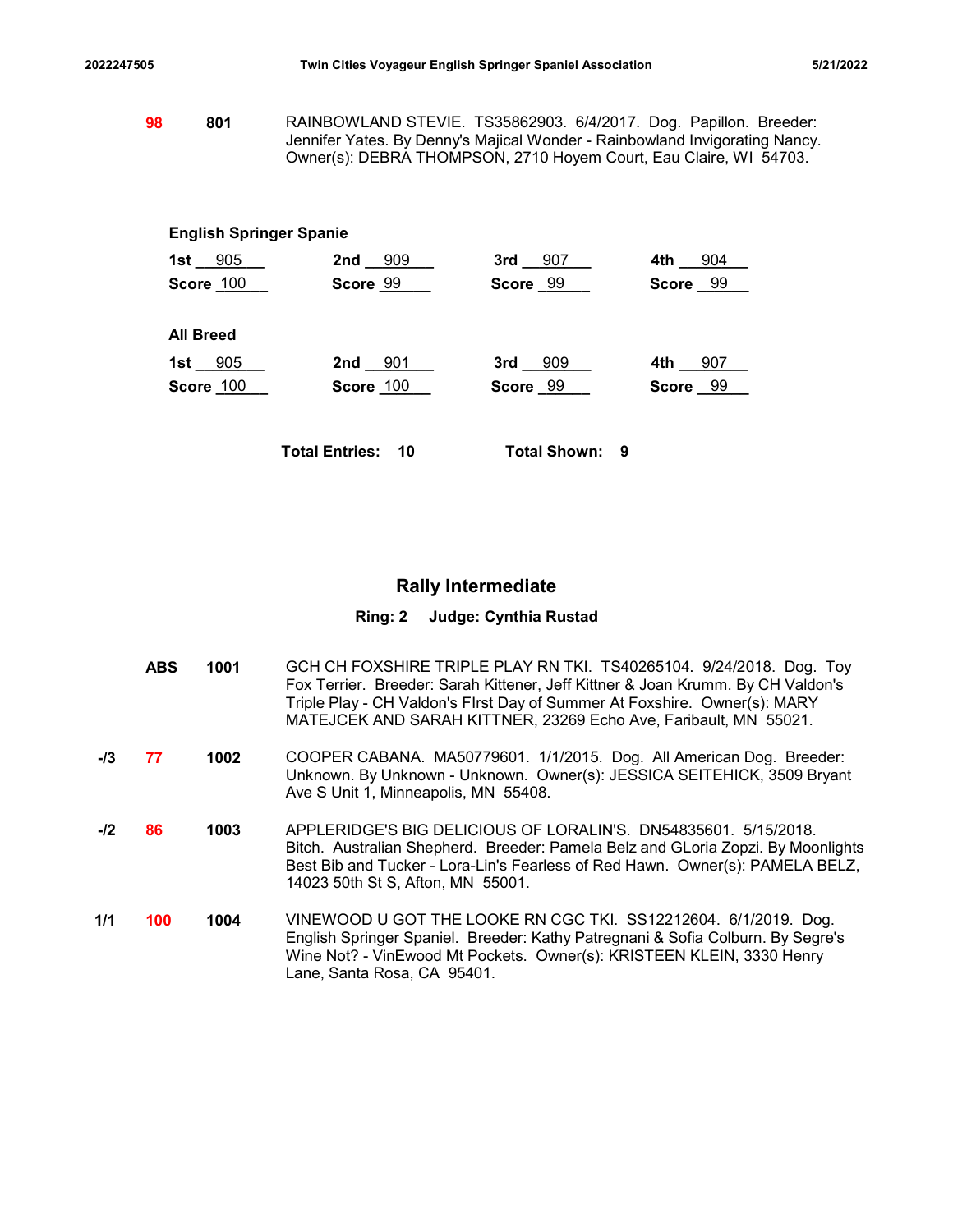2022247505 Twin Cities Voyageur English Springer Spaniel Association 5/21/2022<br>1921/2022 Twin Cities Voyageur English Springer Spaniel Association<br>1930 RAINBOWLAND STEVIE. TS35862903. 6/4/2017. Dog. Papillon. Breeder:<br>1931 **98 801** RAINBOWLAND STEVIE. TS35862903. 6/4/2017. Dog. Papillon. Breeder: Jennifer Yates. By Denny's Majical Wonder - Rainbowland Invigorating Nancy. Owner(s): DEBRA THOMPSON, 2710 Hoyem Court, Eau Claire, WI 54703.

# English Springer Spanie

|                                | Twin Cities Voyageur English Springer Spaniel Association                                                                                                                                                             |                       |           | 5/21/2022 |
|--------------------------------|-----------------------------------------------------------------------------------------------------------------------------------------------------------------------------------------------------------------------|-----------------------|-----------|-----------|
| 801                            | RAINBOWLAND STEVIE. TS35862903. 6/4/2017. Dog. Papillon. Breeder:<br>Jennifer Yates. By Denny's Majical Wonder - Rainbowland Invigorating Nancy.<br>Owner(s): DEBRA THOMPSON, 2710 Hoyem Court, Eau Claire, WI 54703. |                       |           |           |
|                                |                                                                                                                                                                                                                       |                       |           |           |
| <b>English Springer Spanie</b> |                                                                                                                                                                                                                       |                       |           |           |
| 1st $905$                      | 2nd 909                                                                                                                                                                                                               | $3rd - 907$           | 4th $904$ |           |
| Score 100                      | Score 99                                                                                                                                                                                                              | Score 99              | Score 99  |           |
| <b>All Breed</b>               |                                                                                                                                                                                                                       |                       |           |           |
| 1st $_{.005}$                  | 2nd 901                                                                                                                                                                                                               | 3rd 909               | 4th 907   |           |
| <b>Score 100</b>               | Score 100                                                                                                                                                                                                             | Score 99              | Score 99  |           |
|                                | <b>Total Entries: 10</b>                                                                                                                                                                                              | <b>Total Shown: 9</b> |           |           |

# Rally Intermediate

# Ring: 2 Judge: Cynthia Rustad

|       | <b>ABS</b> | 1001 | GCH CH FOXSHIRE TRIPLE PLAY RN TKI. TS40265104. 9/24/2018. Dog. Toy<br>Fox Terrier. Breeder: Sarah Kittener, Jeff Kittner & Joan Krumm. By CH Valdon's<br>Triple Play - CH Valdon's Flrst Day of Summer At Foxshire. Owner(s): MARY<br>MATEJCEK AND SARAH KITTNER, 23269 Echo Ave, Faribault, MN 55021. |
|-------|------------|------|---------------------------------------------------------------------------------------------------------------------------------------------------------------------------------------------------------------------------------------------------------------------------------------------------------|
| $-I3$ | 77         | 1002 | COOPER CABANA. MA50779601. 1/1/2015. Dog. All American Dog. Breeder:<br>Unknown. By Unknown - Unknown. Owner(s): JESSICA SEITEHICK, 3509 Bryant<br>Ave S Unit 1, Minneapolis, MN 55408.                                                                                                                 |
| $-I2$ | 86         | 1003 | APPLERIDGE'S BIG DELICIOUS OF LORALIN'S. DN54835601. 5/15/2018.<br>Bitch. Australian Shepherd. Breeder: Pamela Belz and GLoria Zopzi. By Moonlights<br>Best Bib and Tucker - Lora-Lin's Fearless of Red Hawn. Owner(s): PAMELA BELZ,<br>14023 50th St S, Afton, MN 55001.                               |
| 1/1   | 100        | 1004 | VINEWOOD U GOT THE LOOKE RN CGC TKI. SS12212604. 6/1/2019. Dog.<br>English Springer Spaniel. Breeder: Kathy Patregnani & Sofia Colburn. By Segre's<br>Wine Not? - VinEwood Mt Pockets. Owner(s): KRISTEEN KLEIN, 3330 Henry<br>Lane, Santa Rosa, CA 95401.                                              |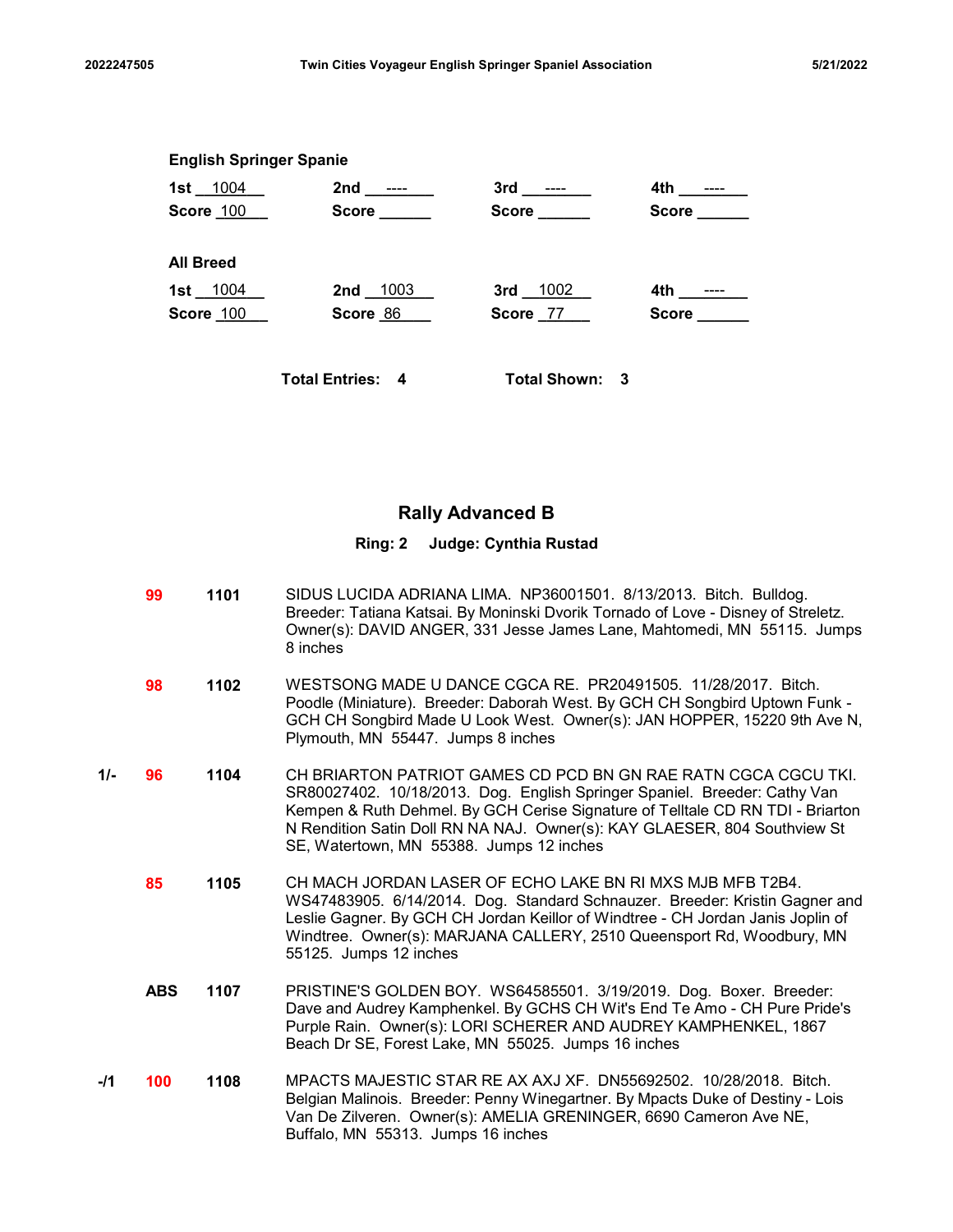| 2022247505 |                                | Twin Cities Voyageur English Springer Spaniel Association                |                       |             | 5/21/2022 |
|------------|--------------------------------|--------------------------------------------------------------------------|-----------------------|-------------|-----------|
|            |                                |                                                                          |                       |             |           |
|            |                                |                                                                          |                       |             |           |
|            | <b>English Springer Spanie</b> |                                                                          |                       |             |           |
|            |                                | 1st <u>1004</u> 2nd <u>----</u> 3rd <u>----</u><br>Score 100 Score Score | Score ______          | Score _____ |           |
|            | <b>All Breed</b>               |                                                                          |                       |             |           |
|            | 1st __1004 __<br>Score 100     | 2nd 1003<br>Score 86                                                     | 3rd 1002<br>Score 77  | Score _____ |           |
|            |                                | <b>Total Entries: 4</b>                                                  | <b>Total Shown: 3</b> |             |           |

# Rally Advanced B

### Ring: 2 Judge: Cynthia Rustad

1101 SIDUS LUCIDA ADRIANA LIMA. NP36001501. 8/13/2013. Bitch. Bulldog. 99 Breeder: Tatiana Katsai. By Moninski Dvorik Tornado of Love - Disney of Streletz. Owner(s): DAVID ANGER, 331 Jesse James Lane, Mahtomedi, MN 55115. Jumps 8 inches **98 1102** WESTSONG MADE U DANCE CGCA RE. PR20491505. 11/28/2017. Bitch. Poodle (Miniature). Breeder: Daborah West. By GCH CH Songbird Uptown Funk - GCH CH Songbird Made U Look West. Owner(s): JAN HOPPER, 15220 9th Ave N, Plymouth, MN 55447. Jumps 8 inches **1/- 96 1104** CH BRIARTON PATRIOT GAMES CD PCD BN GN RAE RATN CGCA CGCU TKI. SR80027402. 10/18/2013. Dog. English Springer Spaniel. Breeder: Cathy Van Kempen & Ruth Dehmel. By GCH Cerise Signature of Telltale CD RN TDI - Briarton N Rendition Satin Doll RN NA NAJ. Owner(s): KAY GLAESER, 804 Southview St SE, Watertown, MN 55388. Jumps 12 inches 1105 CH MACH JORDAN LASER OF ECHO LAKE BN RI MXS MJB MFB T2B4. 85 WS47483905. 6/14/2014. Dog. Standard Schnauzer. Breeder: Kristin Gagner and Leslie Gagner. By GCH CH Jordan Keillor of Windtree - CH Jordan Janis Joplin of Windtree. Owner(s): MARJANA CALLERY, 2510 Queensport Rd, Woodbury, MN 55125. Jumps 12 inches **ABS 1107** PRISTINE'S GOLDEN BOY. WS64585501. 3/19/2019. Dog. Boxer. Breeder: Dave and Audrey Kamphenkel. By GCHS CH Wit's End Te Amo - CH Pure Pride's Purple Rain. Owner(s): LORI SCHERER AND AUDREY KAMPHENKEL, 1867 Beach Dr SE, Forest Lake, MN 55025. Jumps 16 inches -**/1 100 1108** MPACTS MAJESTIC STAR RE AX AXJ XF. DN55692502. 10/28/2018. Bitch. Belgian Malinois. Breeder: Penny Winegartner. By Mpacts Duke of Destiny - Lois Van De Zilveren. Owner(s): AMELIA GRENINGER, 6690 Cameron Ave NE,

Buffalo, MN 55313. Jumps 16 inches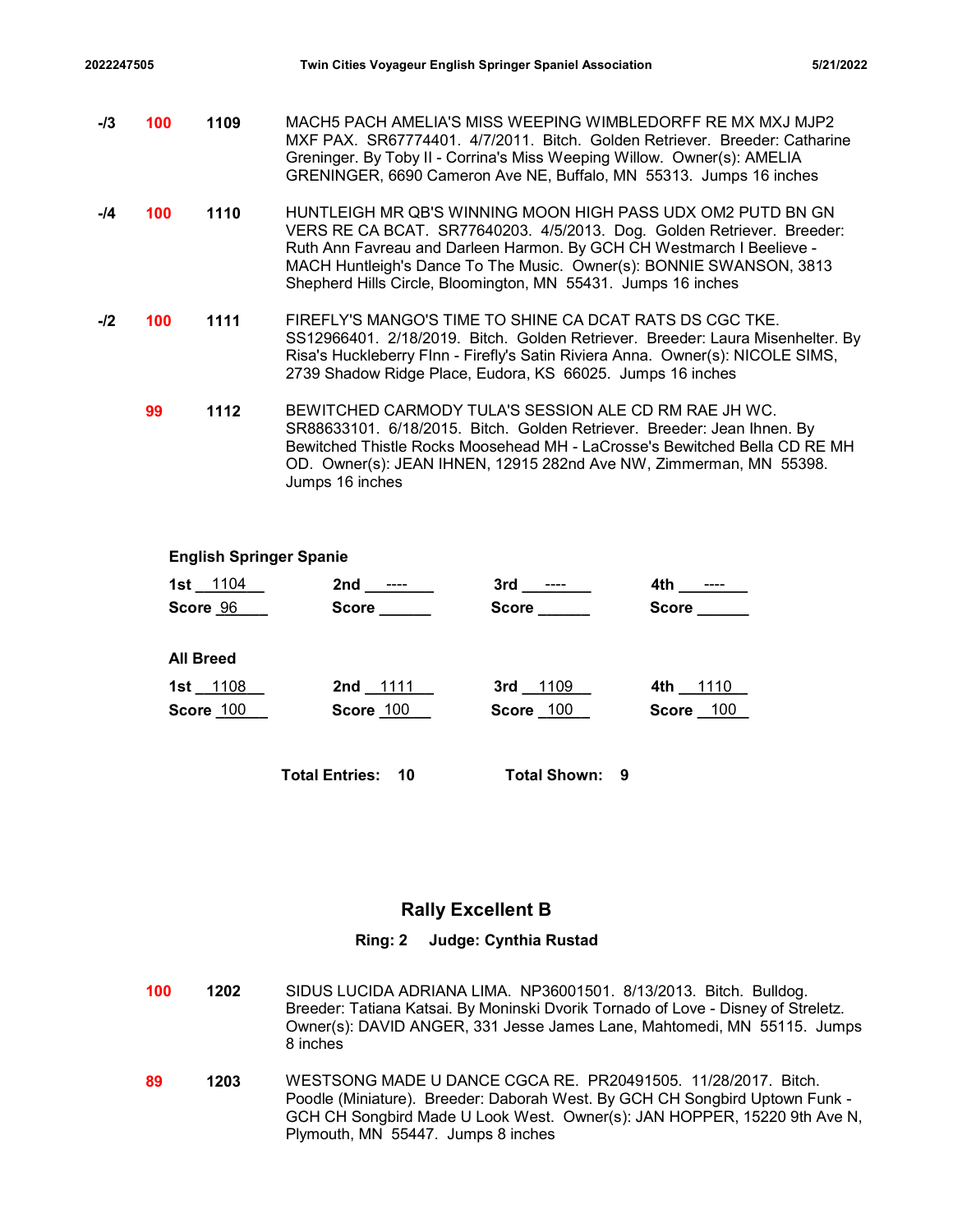| 2022247505 |     |                                |                                                                                                                                                                                                                                                                                                                                                        | Twin Cities Voyageur English Springer Spaniel Association |                                             | 5/21/2022 |
|------------|-----|--------------------------------|--------------------------------------------------------------------------------------------------------------------------------------------------------------------------------------------------------------------------------------------------------------------------------------------------------------------------------------------------------|-----------------------------------------------------------|---------------------------------------------|-----------|
| -/3        | 100 | 1109                           | MACH5 PACH AMELIA'S MISS WEEPING WIMBLEDORFF RE MX MXJ MJP2<br>MXF PAX. SR67774401. 4/7/2011. Bitch. Golden Retriever. Breeder: Catharine<br>Greninger. By Toby II - Corrina's Miss Weeping Willow. Owner(s): AMELIA<br>GRENINGER, 6690 Cameron Ave NE, Buffalo, MN 55313. Jumps 16 inches                                                             |                                                           |                                             |           |
| -14        | 100 | 1110                           | HUNTLEIGH MR QB'S WINNING MOON HIGH PASS UDX OM2 PUTD BN GN<br>VERS RE CA BCAT. SR77640203. 4/5/2013. Dog. Golden Retriever. Breeder:<br>Ruth Ann Favreau and Darleen Harmon. By GCH CH Westmarch I Beelieve -<br>MACH Huntleigh's Dance To The Music. Owner(s): BONNIE SWANSON, 3813<br>Shepherd Hills Circle, Bloomington, MN 55431. Jumps 16 inches |                                                           |                                             |           |
| -/2        | 100 | 1111                           | FIREFLY'S MANGO'S TIME TO SHINE CA DCAT RATS DS CGC TKE.<br>SS12966401. 2/18/2019. Bitch. Golden Retriever. Breeder: Laura Misenhelter. By<br>Risa's Huckleberry Flnn - Firefly's Satin Riviera Anna. Owner(s): NICOLE SIMS,<br>2739 Shadow Ridge Place, Eudora, KS 66025. Jumps 16 inches                                                             |                                                           |                                             |           |
|            | 99  | 1112                           | BEWITCHED CARMODY TULA'S SESSION ALE CD RM RAE JH WC.<br>SR88633101. 6/18/2015. Bitch. Golden Retriever. Breeder: Jean Ihnen. By<br>Bewitched Thistle Rocks Moosehead MH - LaCrosse's Bewitched Bella CD RE MH<br>OD. Owner(s): JEAN IHNEN, 12915 282nd Ave NW, Zimmerman, MN 55398.<br>Jumps 16 inches                                                |                                                           |                                             |           |
|            |     | <b>English Springer Spanie</b> |                                                                                                                                                                                                                                                                                                                                                        |                                                           |                                             |           |
|            |     | 1st 1104<br>Score 96           | Score _____                                                                                                                                                                                                                                                                                                                                            | $3rd$ ________<br>Score                                   | 4th ________<br>$Score$ <sub>________</sub> |           |
|            |     | <b>All Breed</b>               |                                                                                                                                                                                                                                                                                                                                                        |                                                           |                                             |           |
|            |     | 1st 1108<br><b>Score 100</b>   | 2nd 1111<br><b>Score 100</b>                                                                                                                                                                                                                                                                                                                           | 3rd 1109<br>Score 100                                     | 4th $1110$<br><b>Score</b> 100              |           |
|            |     |                                | <b>Total Entries: 10</b>                                                                                                                                                                                                                                                                                                                               | Total Shown: 9                                            |                                             |           |

# English Springer Spanie

| 1st 1104         | 2nd<br>$\cdots$  | 3rd<br>$---$     | 4th<br>----  |
|------------------|------------------|------------------|--------------|
| Score 96         | Score            | <b>Score</b>     | <b>Score</b> |
| <b>All Breed</b> |                  |                  |              |
| 1st 1108         | 2nd 1111         | 3rd 1109         | 1110<br>4th  |
| <b>Score 100</b> | <b>Score 100</b> | <b>Score</b> 100 | Score 100    |
|                  |                  |                  |              |
|                  |                  |                  |              |

# Rally Excellent B

# Ring: 2 Judge: Cynthia Rustad

- 1202 SIDUS LUCIDA ADRIANA LIMA. NP36001501. 8/13/2013. Bitch. Bulldog. 100 Breeder: Tatiana Katsai. By Moninski Dvorik Tornado of Love - Disney of Streletz. Owner(s): DAVID ANGER, 331 Jesse James Lane, Mahtomedi, MN 55115. Jumps 8 inches
- 1203 WESTSONG MADE U DANCE CGCA RE. PR20491505. 11/28/2017. Bitch. Poodle (Miniature). Breeder: Daborah West. By GCH CH Songbird Uptown Funk - GCH CH Songbird Made U Look West. Owner(s): JAN HOPPER, 15220 9th Ave N, Plymouth, MN 55447. Jumps 8 inches 89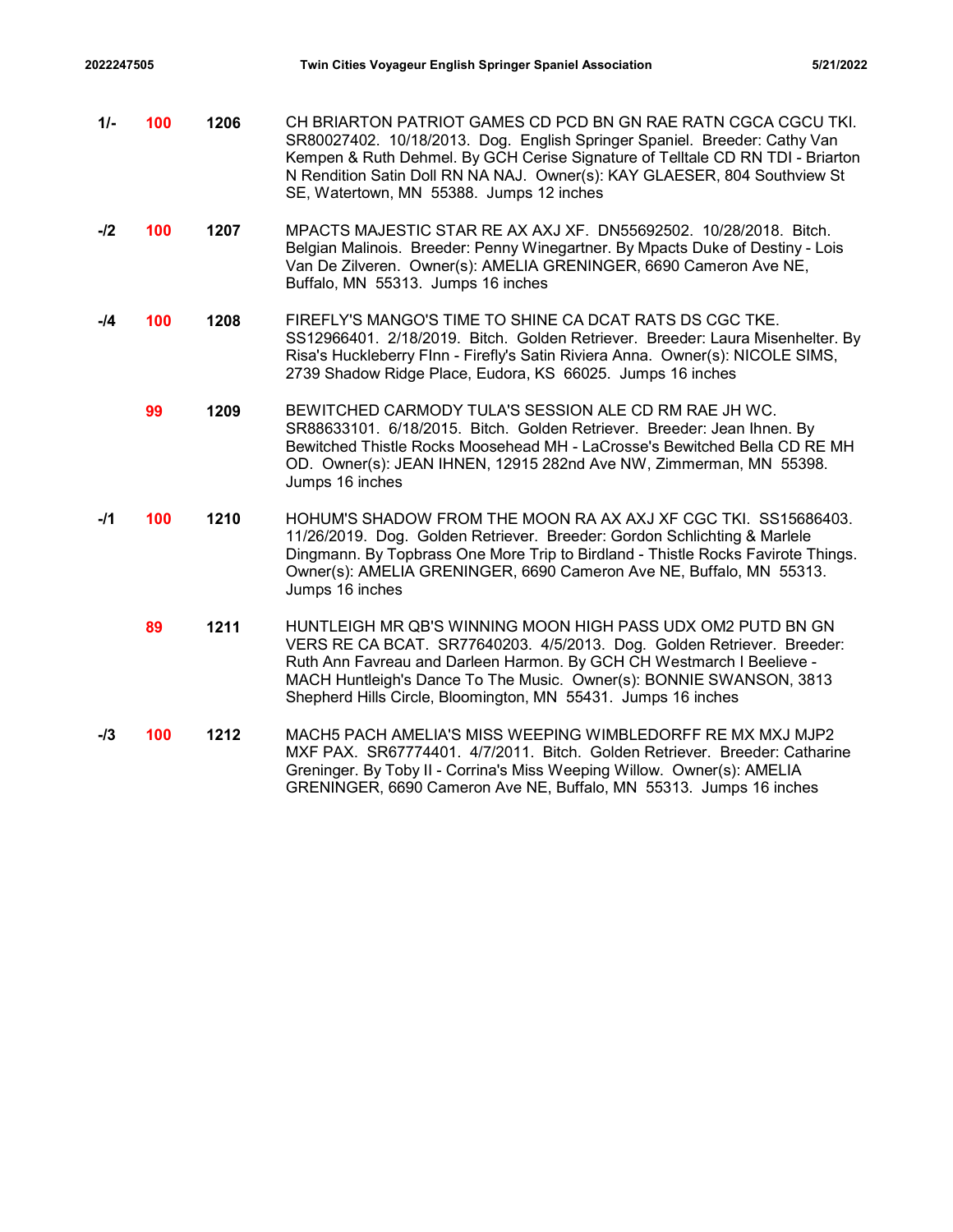2022247505 Twin Cities Voyageur English Springer Spaniel Association 5/21/2022<br>11- **100** 1206 CH BRIARTON PATRIOT GAMES CD PCD BN GN RAE RATN CGCA CGCU TKI.<br>107 SR80027402. 10/18/2013. Dog. English Springer Spaniel. Breede 1/- **100 1206** CH BRIARTON PATRIOT GAMES CD PCD BN GN RAE RATN CGCA CGCU TKI. SR80027402. 10/18/2013. Dog. English Springer Spaniel. Breeder: Cathy Van Kempen & Ruth Dehmel. By GCH Cerise Signature of Telltale CD RN TDI - Briarton N Rendition Satin Doll RN NA NAJ. Owner(s): KAY GLAESER, 804 Southview St SE, Watertown, MN 55388. Jumps 12 inches -**/2 100 1207** MPACTS MAJESTIC STAR RE AX AXJ XF. DN55692502. 10/28/2018. Bitch. Belgian Malinois. Breeder: Penny Winegartner. By Mpacts Duke of Destiny - Lois Van De Zilveren. Owner(s): AMELIA GRENINGER, 6690 Cameron Ave NE, Buffalo, MN 55313. Jumps 16 inches -/4 **100 1208** FIREFLY'S MANGO'S TIME TO SHINE CA DCAT RATS DS CGC TKE. SS12966401. 2/18/2019. Bitch. Golden Retriever. Breeder: Laura Misenhelter. By Risa's Huckleberry FInn - Firefly's Satin Riviera Anna. Owner(s): NICOLE SIMS, 2739 Shadow Ridge Place, Eudora, KS 66025. Jumps 16 inches 1209 BEWITCHED CARMODY TULA'S SESSION ALE CD RM RAE JH WC. 99 SR88633101. 6/18/2015. Bitch. Golden Retriever. Breeder: Jean Ihnen. By Bewitched Thistle Rocks Moosehead MH - LaCrosse's Bewitched Bella CD RE MH OD. Owner(s): JEAN IHNEN, 12915 282nd Ave NW, Zimmerman, MN 55398. Jumps 16 inches -/1 **100 1210** HOHUM'S SHADOW FROM THE MOON RA AX AXJ XF CGC TKI. SS15686403. 11/26/2019. Dog. Golden Retriever. Breeder: Gordon Schlichting & Marlele Dingmann. By Topbrass One More Trip to Birdland - Thistle Rocks Favirote Things. Owner(s): AMELIA GRENINGER, 6690 Cameron Ave NE, Buffalo, MN 55313. Jumps 16 inches **89 1211 HUNTLEIGH MR QB'S WINNING MOON HIGH PASS UDX OM2 PUTD BN GN** VERS RE CA BCAT. SR77640203. 4/5/2013. Dog. Golden Retriever. Breeder: Ruth Ann Favreau and Darleen Harmon. By GCH CH Westmarch I Beelieve - MACH Huntleigh's Dance To The Music. Owner(s): BONNIE SWANSON, 3813 Shepherd Hills Circle, Bloomington, MN 55431. Jumps 16 inches -/3 **100 1212** MACH5 PACH AMELIA'S MISS WEEPING WIMBLEDORFF RE MX MXJ MJP2 MXF PAX. SR67774401. 4/7/2011. Bitch. Golden Retriever. Breeder: Catharine Greninger. By Toby II - Corrina's Miss Weeping Willow. Owner(s): AMELIA GRENINGER, 6690 Cameron Ave NE, Buffalo, MN 55313. Jumps 16 inches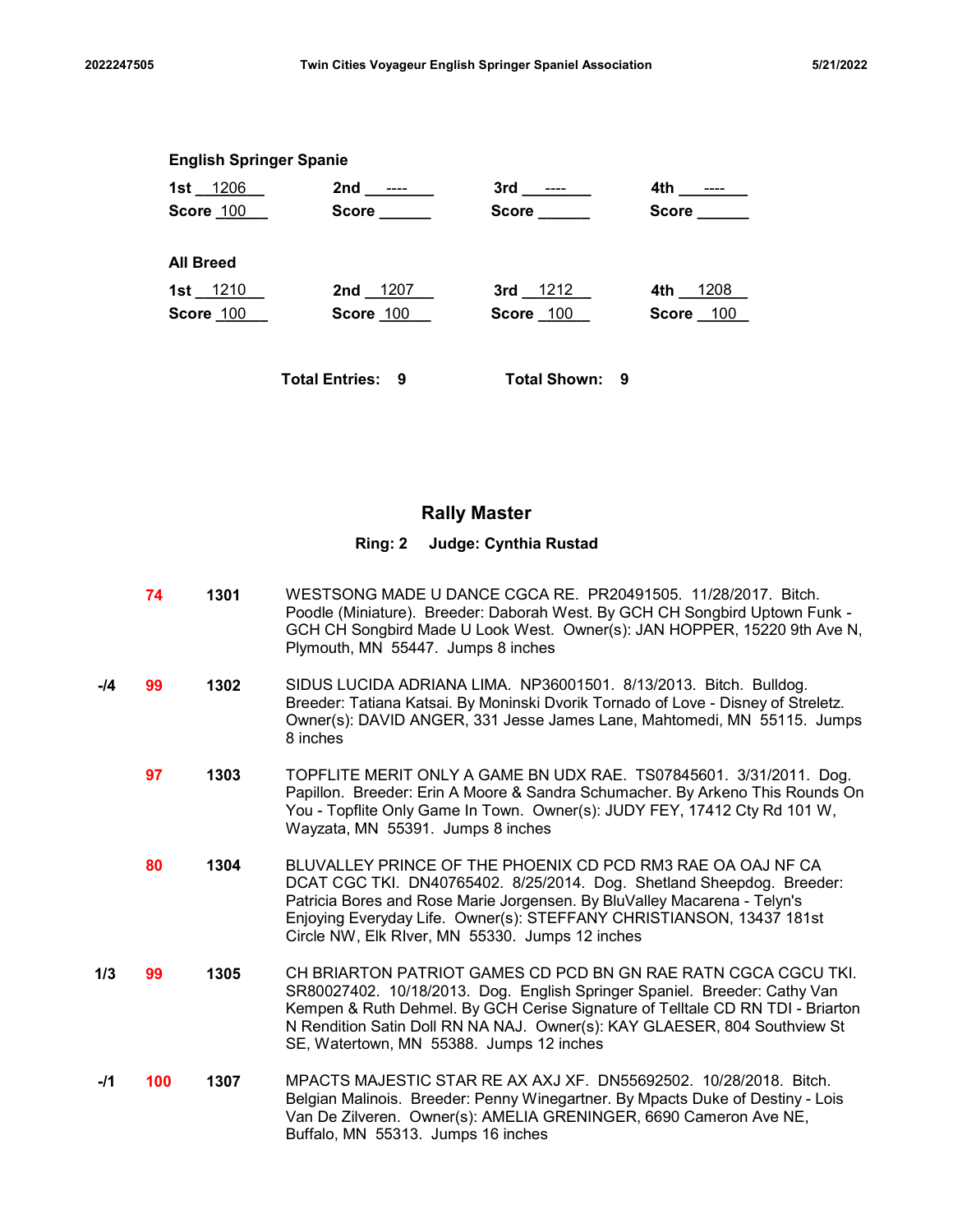| 2022247505 |                                | Twin Cities Voyageur English Springer Spaniel Association                |                       |                       | 5/21/2022 |
|------------|--------------------------------|--------------------------------------------------------------------------|-----------------------|-----------------------|-----------|
|            |                                |                                                                          |                       |                       |           |
|            |                                |                                                                          |                       |                       |           |
|            | <b>English Springer Spanie</b> |                                                                          |                       |                       |           |
|            |                                | 1st <u>1206</u> 2nd <u>----</u> 3rd <u>----</u><br>Score 100 Score Score | Score ______          | Score                 |           |
|            | <b>All Breed</b>               |                                                                          |                       |                       |           |
|            | 1st 1210<br>Score 100          | 2nd 1207<br>Score 100                                                    | 3rd 1212<br>Score 100 | 4th 1208<br>Score 100 |           |
|            |                                | <b>Total Entries: 9</b>                                                  | <b>Total Shown: 9</b> |                       |           |

# Rally Master

### Ring: 2 Judge: Cynthia Rustad

- **1301** WESTSONG MADE U DANCE CGCA RE. PR20491505. 11/28/2017. Bitch. Poodle (Miniature). Breeder: Daborah West. By GCH CH Songbird Uptown Funk - GCH CH Songbird Made U Look West. Owner(s): JAN HOPPER, 15220 9th Ave N, Plymouth, MN 55447. Jumps 8 inches
- -**/4 99 1302** SIDUS LUCIDA ADRIANA LIMA. NP36001501. 8/13/2013. Bitch. Bulldog. Breeder: Tatiana Katsai. By Moninski Dvorik Tornado of Love - Disney of Streletz. Owner(s): DAVID ANGER, 331 Jesse James Lane, Mahtomedi, MN 55115. Jumps 8 inches
	- **97 1303** TOPFLITE MERIT ONLY A GAME BN UDX RAE. TS07845601. 3/31/2011. Dog. Papillon. Breeder: Erin A Moore & Sandra Schumacher. By Arkeno This Rounds On You - Topflite Only Game In Town. Owner(s): JUDY FEY, 17412 Cty Rd 101 W, Wayzata, MN 55391. Jumps 8 inches
	- 1304 BLUVALLEY PRINCE OF THE PHOENIX CD PCD RM3 RAE OA OAJ NF CA 80 DCAT CGC TKI. DN40765402. 8/25/2014. Dog. Shetland Sheepdog. Breeder: Patricia Bores and Rose Marie Jorgensen. By BluValley Macarena - Telyn's Enjoying Everyday Life. Owner(s): STEFFANY CHRISTIANSON, 13437 181st Circle NW, Elk RIver, MN 55330. Jumps 12 inches
- 1/3 **99** 1305 CH BRIARTON PATRIOT GAMES CD PCD BN GN RAE RATN CGCA CGCU TKI. SR80027402. 10/18/2013. Dog. English Springer Spaniel. Breeder: Cathy Van Kempen & Ruth Dehmel. By GCH Cerise Signature of Telltale CD RN TDI - Briarton N Rendition Satin Doll RN NA NAJ. Owner(s): KAY GLAESER, 804 Southview St SE, Watertown, MN 55388. Jumps 12 inches
- -**/1 100 1307** MPACTS MAJESTIC STAR RE AX AXJ XF. DN55692502. 10/28/2018. Bitch. Belgian Malinois. Breeder: Penny Winegartner. By Mpacts Duke of Destiny - Lois Van De Zilveren. Owner(s): AMELIA GRENINGER, 6690 Cameron Ave NE, Buffalo, MN 55313. Jumps 16 inches